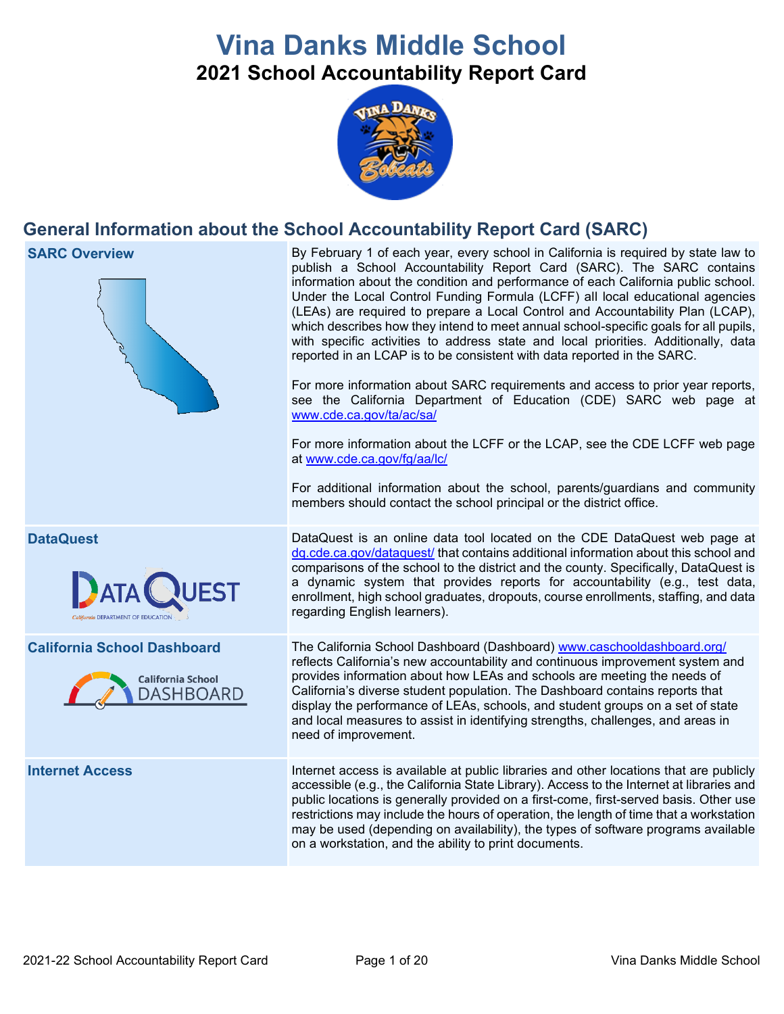# **Vina Danks Middle School 2021 School Accountability Report Card**



# **General Information about the School Accountability Report Card (SARC)**



accessible (e.g., the California State Library). Access to the Internet at libraries and public locations is generally provided on a first-come, first-served basis. Other use restrictions may include the hours of operation, the length of time that a workstation may be used (depending on availability), the types of software programs available on a workstation, and the ability to print documents.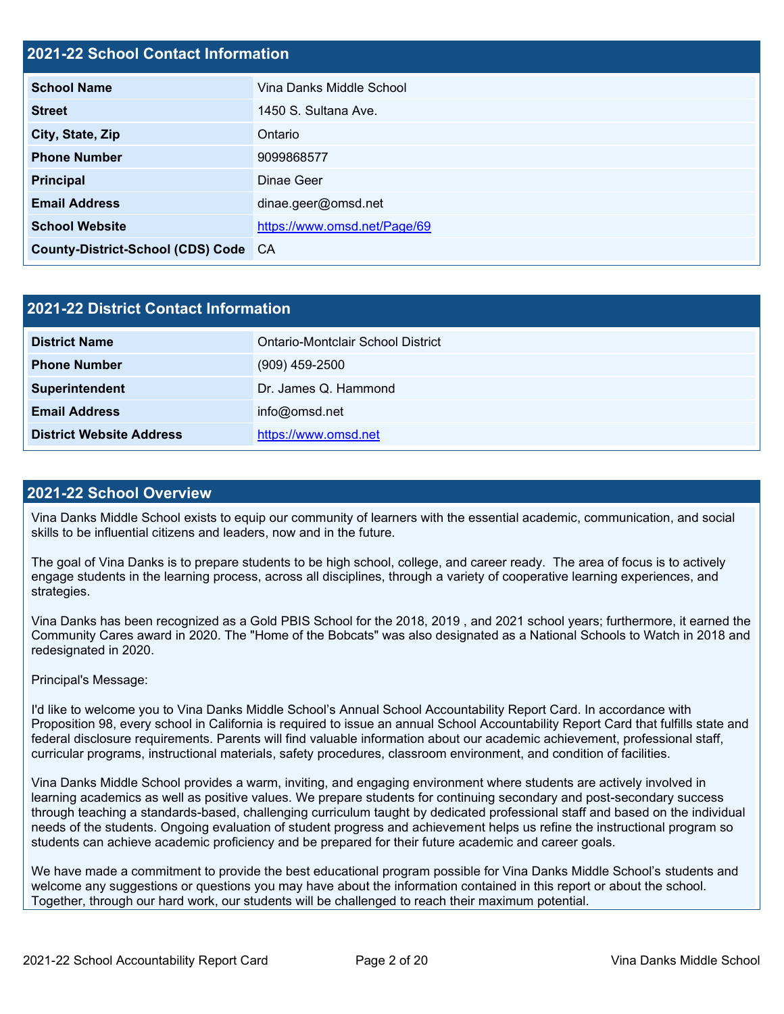#### **2021-22 School Contact Information**

| <b>School Name</b>                   | Vina Danks Middle School     |
|--------------------------------------|------------------------------|
| <b>Street</b>                        | 1450 S. Sultana Ave.         |
| City, State, Zip                     | Ontario                      |
| <b>Phone Number</b>                  | 9099868577                   |
| <b>Principal</b>                     | Dinae Geer                   |
| <b>Email Address</b>                 | dinae.geer@omsd.net          |
| <b>School Website</b>                | https://www.omsd.net/Page/69 |
| County-District-School (CDS) Code CA |                              |

| 2021-22 District Contact Information |                                   |  |  |  |
|--------------------------------------|-----------------------------------|--|--|--|
| <b>District Name</b>                 | Ontario-Montclair School District |  |  |  |
| <b>Phone Number</b>                  | $(909)$ 459-2500                  |  |  |  |
| Superintendent                       | Dr. James Q. Hammond              |  |  |  |
| <b>Email Address</b>                 | info@omsd.net                     |  |  |  |
| <b>District Website Address</b>      | https://www.omsd.net              |  |  |  |

#### **2021-22 School Overview**

Vina Danks Middle School exists to equip our community of learners with the essential academic, communication, and social skills to be influential citizens and leaders, now and in the future.

The goal of Vina Danks is to prepare students to be high school, college, and career ready. The area of focus is to actively engage students in the learning process, across all disciplines, through a variety of cooperative learning experiences, and strategies.

Vina Danks has been recognized as a Gold PBIS School for the 2018, 2019 , and 2021 school years; furthermore, it earned the Community Cares award in 2020. The "Home of the Bobcats" was also designated as a National Schools to Watch in 2018 and redesignated in 2020.

#### Principal's Message:

I'd like to welcome you to Vina Danks Middle School's Annual School Accountability Report Card. In accordance with Proposition 98, every school in California is required to issue an annual School Accountability Report Card that fulfills state and federal disclosure requirements. Parents will find valuable information about our academic achievement, professional staff, curricular programs, instructional materials, safety procedures, classroom environment, and condition of facilities.

Vina Danks Middle School provides a warm, inviting, and engaging environment where students are actively involved in learning academics as well as positive values. We prepare students for continuing secondary and post-secondary success through teaching a standards-based, challenging curriculum taught by dedicated professional staff and based on the individual needs of the students. Ongoing evaluation of student progress and achievement helps us refine the instructional program so students can achieve academic proficiency and be prepared for their future academic and career goals.

We have made a commitment to provide the best educational program possible for Vina Danks Middle School's students and welcome any suggestions or questions you may have about the information contained in this report or about the school. Together, through our hard work, our students will be challenged to reach their maximum potential.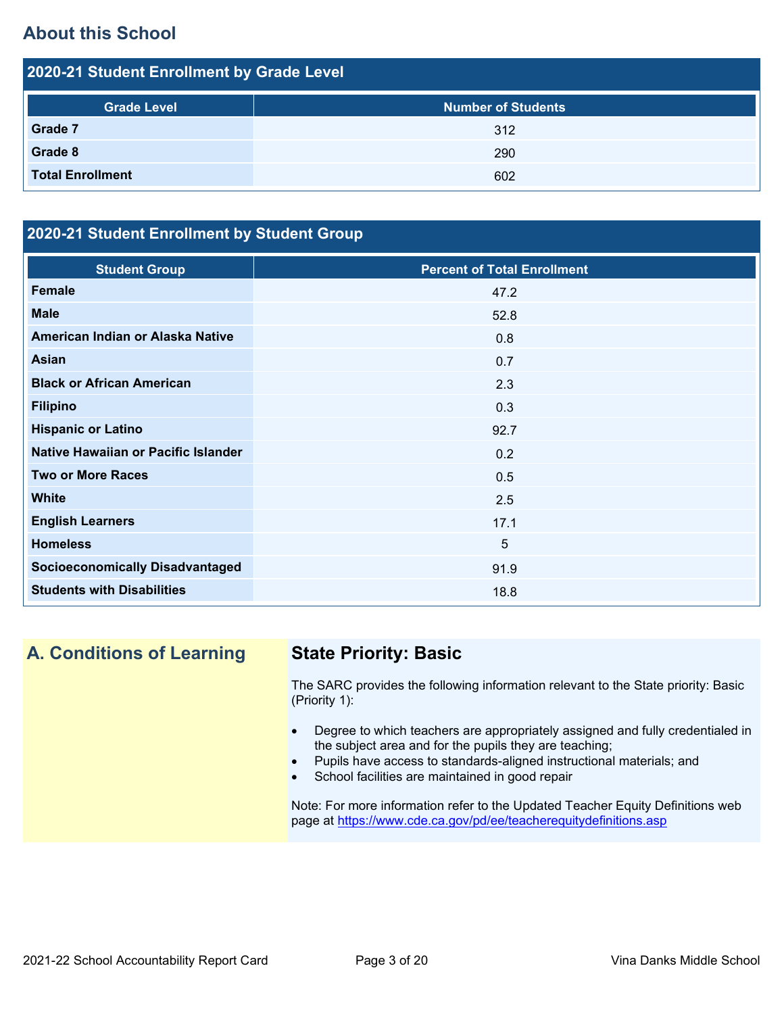# **About this School**

| 2020-21 Student Enrollment by Grade Level |                           |  |  |  |
|-------------------------------------------|---------------------------|--|--|--|
| <b>Grade Level</b>                        | <b>Number of Students</b> |  |  |  |
| Grade 7                                   | 312                       |  |  |  |
| Grade 8                                   | 290                       |  |  |  |
| <b>Total Enrollment</b>                   | 602                       |  |  |  |

# **2020-21 Student Enrollment by Student Group**

| <b>Student Group</b>                   | <b>Percent of Total Enrollment</b> |
|----------------------------------------|------------------------------------|
| <b>Female</b>                          | 47.2                               |
| <b>Male</b>                            | 52.8                               |
| American Indian or Alaska Native       | 0.8                                |
| Asian                                  | 0.7                                |
| <b>Black or African American</b>       | 2.3                                |
| <b>Filipino</b>                        | 0.3                                |
| <b>Hispanic or Latino</b>              | 92.7                               |
| Native Hawaiian or Pacific Islander    | 0.2                                |
| <b>Two or More Races</b>               | 0.5                                |
| <b>White</b>                           | 2.5                                |
| <b>English Learners</b>                | 17.1                               |
| <b>Homeless</b>                        | 5                                  |
| <b>Socioeconomically Disadvantaged</b> | 91.9                               |
| <b>Students with Disabilities</b>      | 18.8                               |

# **A. Conditions of Learning State Priority: Basic**

The SARC provides the following information relevant to the State priority: Basic (Priority 1):

- Degree to which teachers are appropriately assigned and fully credentialed in the subject area and for the pupils they are teaching;
- Pupils have access to standards-aligned instructional materials; and
- School facilities are maintained in good repair

Note: For more information refer to the Updated Teacher Equity Definitions web page at<https://www.cde.ca.gov/pd/ee/teacherequitydefinitions.asp>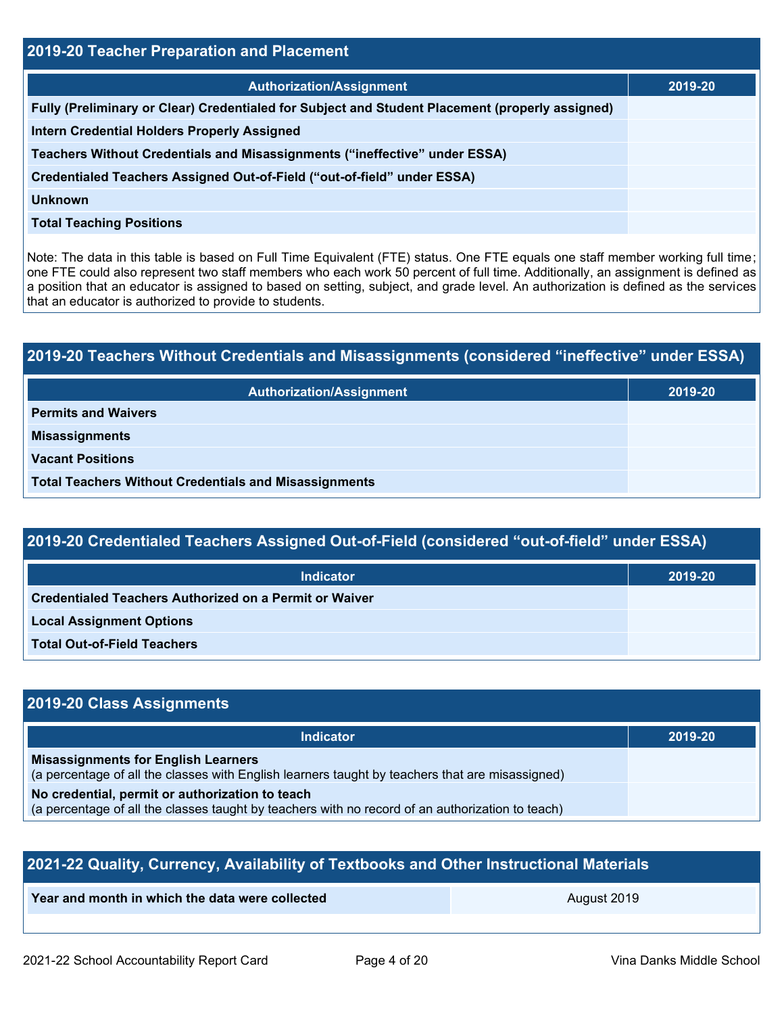| 2019-20 Teacher Preparation and Placement                                                       |         |  |  |  |
|-------------------------------------------------------------------------------------------------|---------|--|--|--|
| <b>Authorization/Assignment</b>                                                                 | 2019-20 |  |  |  |
| Fully (Preliminary or Clear) Credentialed for Subject and Student Placement (properly assigned) |         |  |  |  |
| <b>Intern Credential Holders Properly Assigned</b>                                              |         |  |  |  |
| Teachers Without Credentials and Misassignments ("ineffective" under ESSA)                      |         |  |  |  |
| Credentialed Teachers Assigned Out-of-Field ("out-of-field" under ESSA)                         |         |  |  |  |
| <b>Unknown</b>                                                                                  |         |  |  |  |
| <b>Total Teaching Positions</b>                                                                 |         |  |  |  |

Note: The data in this table is based on Full Time Equivalent (FTE) status. One FTE equals one staff member working full time; one FTE could also represent two staff members who each work 50 percent of full time. Additionally, an assignment is defined as a position that an educator is assigned to based on setting, subject, and grade level. An authorization is defined as the services that an educator is authorized to provide to students.

# **2019-20 Teachers Without Credentials and Misassignments (considered "ineffective" under ESSA) Authorization/Assignment 2019-20 Permits and Waivers Misassignments Vacant Positions Total Teachers Without Credentials and Misassignments**

# **2019-20 Credentialed Teachers Assigned Out-of-Field (considered "out-of-field" under ESSA)**

| <b>Indicator</b>                                       | 2019-20 |
|--------------------------------------------------------|---------|
| Credentialed Teachers Authorized on a Permit or Waiver |         |
| <b>Local Assignment Options</b>                        |         |
| <b>Total Out-of-Field Teachers</b>                     |         |

# **2019-20 Class Assignments**

| <b>Indicator</b>                                                                                                                                    | 2019-20 |
|-----------------------------------------------------------------------------------------------------------------------------------------------------|---------|
| <b>Misassignments for English Learners</b><br>(a percentage of all the classes with English learners taught by teachers that are misassigned)       |         |
| No credential, permit or authorization to teach<br>(a percentage of all the classes taught by teachers with no record of an authorization to teach) |         |

| 2021-22 Quality, Currency, Availability of Textbooks and Other Instructional Materials |             |  |  |  |
|----------------------------------------------------------------------------------------|-------------|--|--|--|
| Year and month in which the data were collected                                        | August 2019 |  |  |  |
|                                                                                        |             |  |  |  |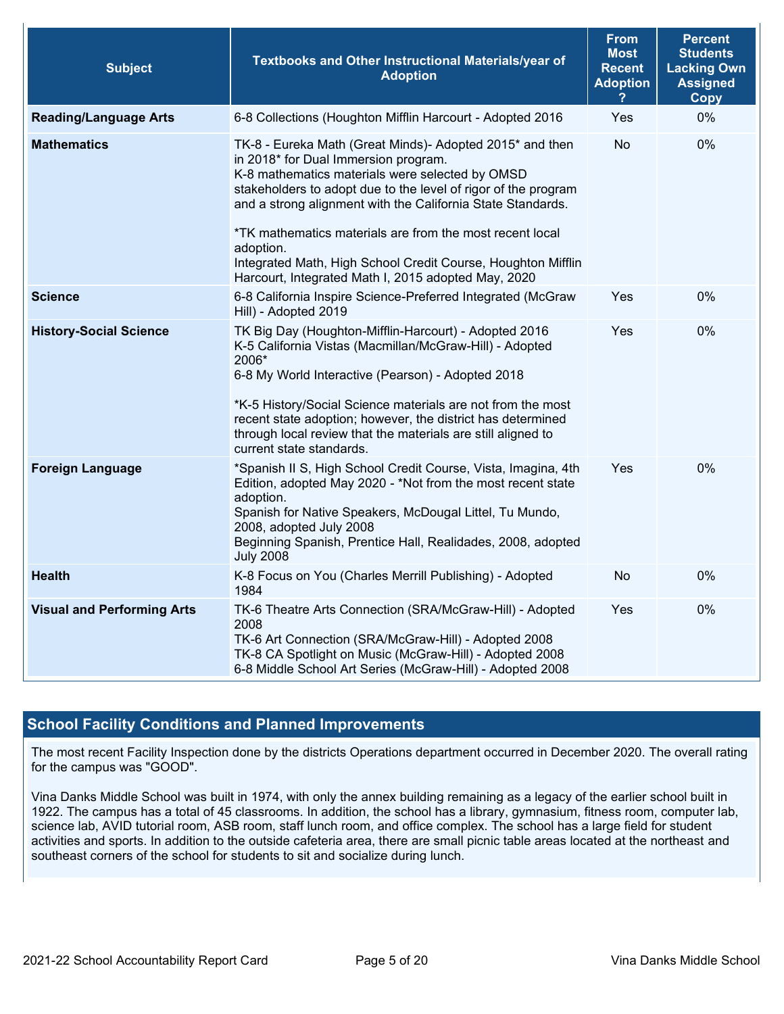| <b>Subject</b>                    | Textbooks and Other Instructional Materials/year of<br><b>Adoption</b>                                                                                                                                                                                                                                                                                                                                                                                                               | <b>From</b><br><b>Most</b><br><b>Recent</b><br><b>Adoption</b> | <b>Percent</b><br><b>Students</b><br><b>Lacking Own</b><br><b>Assigned</b><br>Copy |
|-----------------------------------|--------------------------------------------------------------------------------------------------------------------------------------------------------------------------------------------------------------------------------------------------------------------------------------------------------------------------------------------------------------------------------------------------------------------------------------------------------------------------------------|----------------------------------------------------------------|------------------------------------------------------------------------------------|
| <b>Reading/Language Arts</b>      | 6-8 Collections (Houghton Mifflin Harcourt - Adopted 2016                                                                                                                                                                                                                                                                                                                                                                                                                            | Yes                                                            | 0%                                                                                 |
| <b>Mathematics</b>                | TK-8 - Eureka Math (Great Minds)- Adopted 2015* and then<br>in 2018* for Dual Immersion program.<br>K-8 mathematics materials were selected by OMSD<br>stakeholders to adopt due to the level of rigor of the program<br>and a strong alignment with the California State Standards.<br>*TK mathematics materials are from the most recent local<br>adoption.<br>Integrated Math, High School Credit Course, Houghton Mifflin<br>Harcourt, Integrated Math I, 2015 adopted May, 2020 | <b>No</b>                                                      | 0%                                                                                 |
| <b>Science</b>                    | 6-8 California Inspire Science-Preferred Integrated (McGraw<br>Hill) - Adopted 2019                                                                                                                                                                                                                                                                                                                                                                                                  | Yes                                                            | 0%                                                                                 |
| <b>History-Social Science</b>     | TK Big Day (Houghton-Mifflin-Harcourt) - Adopted 2016<br>K-5 California Vistas (Macmillan/McGraw-Hill) - Adopted<br>2006*<br>6-8 My World Interactive (Pearson) - Adopted 2018<br>*K-5 History/Social Science materials are not from the most<br>recent state adoption; however, the district has determined<br>through local review that the materials are still aligned to<br>current state standards.                                                                             | Yes                                                            | 0%                                                                                 |
| <b>Foreign Language</b>           | *Spanish II S, High School Credit Course, Vista, Imagina, 4th<br>Edition, adopted May 2020 - *Not from the most recent state<br>adoption.<br>Spanish for Native Speakers, McDougal Littel, Tu Mundo,<br>2008, adopted July 2008<br>Beginning Spanish, Prentice Hall, Realidades, 2008, adopted<br><b>July 2008</b>                                                                                                                                                                   | Yes                                                            | 0%                                                                                 |
| <b>Health</b>                     | K-8 Focus on You (Charles Merrill Publishing) - Adopted<br>1984                                                                                                                                                                                                                                                                                                                                                                                                                      | No                                                             | 0%                                                                                 |
| <b>Visual and Performing Arts</b> | TK-6 Theatre Arts Connection (SRA/McGraw-Hill) - Adopted<br>2008<br>TK-6 Art Connection (SRA/McGraw-Hill) - Adopted 2008<br>TK-8 CA Spotlight on Music (McGraw-Hill) - Adopted 2008<br>6-8 Middle School Art Series (McGraw-Hill) - Adopted 2008                                                                                                                                                                                                                                     | Yes                                                            | 0%                                                                                 |

#### **School Facility Conditions and Planned Improvements**

The most recent Facility Inspection done by the districts Operations department occurred in December 2020. The overall rating for the campus was "GOOD".

Vina Danks Middle School was built in 1974, with only the annex building remaining as a legacy of the earlier school built in 1922. The campus has a total of 45 classrooms. In addition, the school has a library, gymnasium, fitness room, computer lab, science lab, AVID tutorial room, ASB room, staff lunch room, and office complex. The school has a large field for student activities and sports. In addition to the outside cafeteria area, there are small picnic table areas located at the northeast and southeast corners of the school for students to sit and socialize during lunch.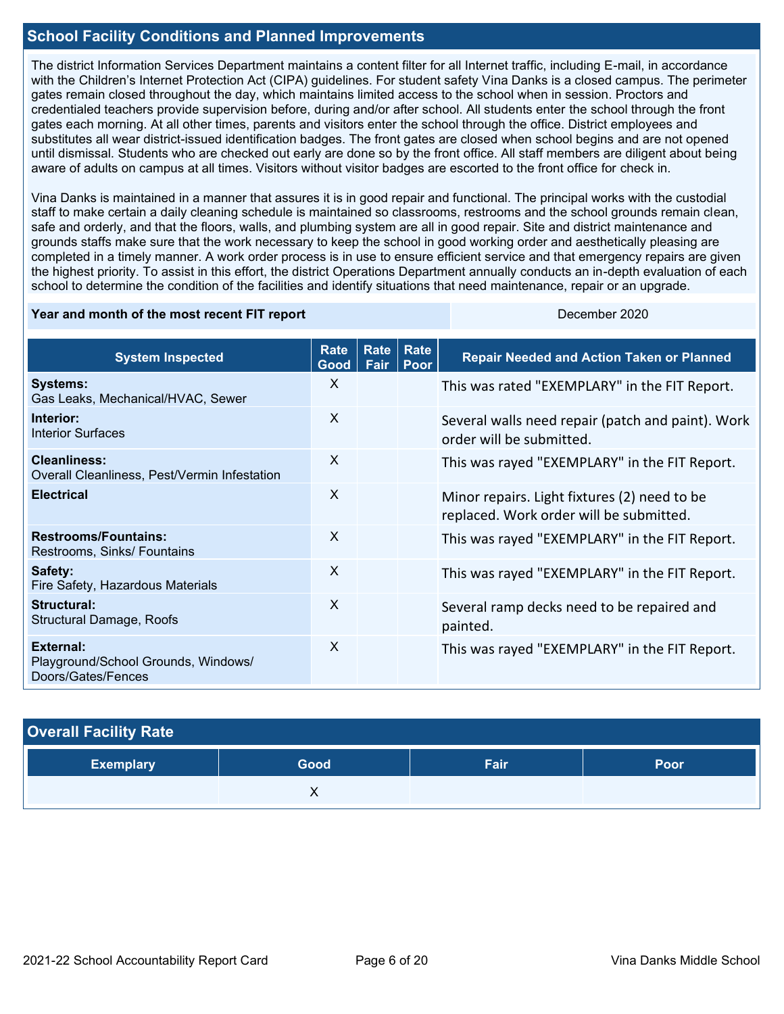#### **School Facility Conditions and Planned Improvements**

The district Information Services Department maintains a content filter for all Internet traffic, including E-mail, in accordance with the Children's Internet Protection Act (CIPA) guidelines. For student safety Vina Danks is a closed campus. The perimeter gates remain closed throughout the day, which maintains limited access to the school when in session. Proctors and credentialed teachers provide supervision before, during and/or after school. All students enter the school through the front gates each morning. At all other times, parents and visitors enter the school through the office. District employees and substitutes all wear district-issued identification badges. The front gates are closed when school begins and are not opened until dismissal. Students who are checked out early are done so by the front office. All staff members are diligent about being aware of adults on campus at all times. Visitors without visitor badges are escorted to the front office for check in.

Vina Danks is maintained in a manner that assures it is in good repair and functional. The principal works with the custodial staff to make certain a daily cleaning schedule is maintained so classrooms, restrooms and the school grounds remain clean, safe and orderly, and that the floors, walls, and plumbing system are all in good repair. Site and district maintenance and grounds staffs make sure that the work necessary to keep the school in good working order and aesthetically pleasing are completed in a timely manner. A work order process is in use to ensure efficient service and that emergency repairs are given the highest priority. To assist in this effort, the district Operations Department annually conducts an in-depth evaluation of each school to determine the condition of the facilities and identify situations that need maintenance, repair or an upgrade.

#### **Year and month of the most recent FIT report** December 2020

| <b>System Inspected</b>                                                | <b>Rate</b><br>Good | Rate<br>Fair | Rate<br>Poor | <b>Repair Needed and Action Taken or Planned</b>                                        |
|------------------------------------------------------------------------|---------------------|--------------|--------------|-----------------------------------------------------------------------------------------|
| <b>Systems:</b><br>Gas Leaks, Mechanical/HVAC, Sewer                   | $\mathsf{X}$        |              |              | This was rated "EXEMPLARY" in the FIT Report.                                           |
| Interior:<br><b>Interior Surfaces</b>                                  | X                   |              |              | Several walls need repair (patch and paint). Work<br>order will be submitted.           |
| <b>Cleanliness:</b><br>Overall Cleanliness, Pest/Vermin Infestation    | X                   |              |              | This was rayed "EXEMPLARY" in the FIT Report.                                           |
| <b>Electrical</b>                                                      | $\mathsf{X}$        |              |              | Minor repairs. Light fixtures (2) need to be<br>replaced. Work order will be submitted. |
| <b>Restrooms/Fountains:</b><br>Restrooms, Sinks/ Fountains             | $\mathsf{x}$        |              |              | This was rayed "EXEMPLARY" in the FIT Report.                                           |
| Safety:<br>Fire Safety, Hazardous Materials                            | X                   |              |              | This was rayed "EXEMPLARY" in the FIT Report.                                           |
| Structural:<br>Structural Damage, Roofs                                | $\mathsf{x}$        |              |              | Several ramp decks need to be repaired and<br>painted.                                  |
| External:<br>Playground/School Grounds, Windows/<br>Doors/Gates/Fences | X                   |              |              | This was rayed "EXEMPLARY" in the FIT Report.                                           |

| <b>Overall Facility Rate</b> |      |      |      |
|------------------------------|------|------|------|
| <b>Exemplary</b>             | Good | Fair | Poor |
|                              |      |      |      |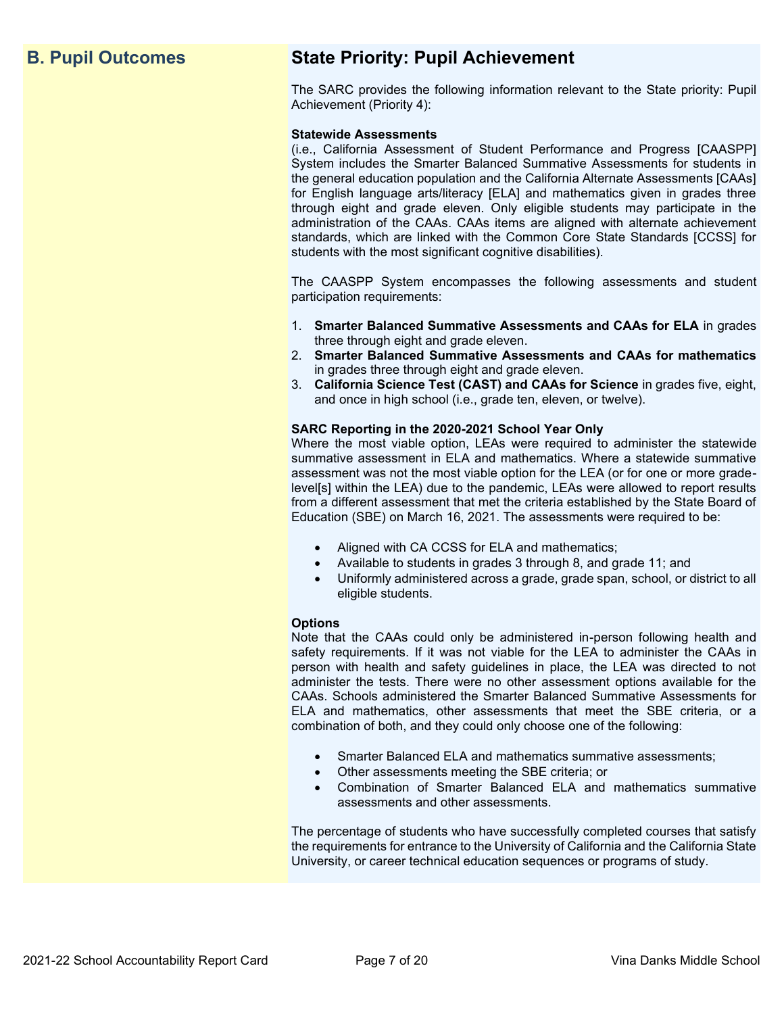# **B. Pupil Outcomes State Priority: Pupil Achievement**

The SARC provides the following information relevant to the State priority: Pupil Achievement (Priority 4):

#### **Statewide Assessments**

(i.e., California Assessment of Student Performance and Progress [CAASPP] System includes the Smarter Balanced Summative Assessments for students in the general education population and the California Alternate Assessments [CAAs] for English language arts/literacy [ELA] and mathematics given in grades three through eight and grade eleven. Only eligible students may participate in the administration of the CAAs. CAAs items are aligned with alternate achievement standards, which are linked with the Common Core State Standards [CCSS] for students with the most significant cognitive disabilities).

The CAASPP System encompasses the following assessments and student participation requirements:

- 1. **Smarter Balanced Summative Assessments and CAAs for ELA** in grades three through eight and grade eleven.
- 2. **Smarter Balanced Summative Assessments and CAAs for mathematics** in grades three through eight and grade eleven.
- 3. **California Science Test (CAST) and CAAs for Science** in grades five, eight, and once in high school (i.e., grade ten, eleven, or twelve).

#### **SARC Reporting in the 2020-2021 School Year Only**

Where the most viable option, LEAs were required to administer the statewide summative assessment in ELA and mathematics. Where a statewide summative assessment was not the most viable option for the LEA (or for one or more gradelevel[s] within the LEA) due to the pandemic, LEAs were allowed to report results from a different assessment that met the criteria established by the State Board of Education (SBE) on March 16, 2021. The assessments were required to be:

- Aligned with CA CCSS for ELA and mathematics;
- Available to students in grades 3 through 8, and grade 11; and
- Uniformly administered across a grade, grade span, school, or district to all eligible students.

#### **Options**

Note that the CAAs could only be administered in-person following health and safety requirements. If it was not viable for the LEA to administer the CAAs in person with health and safety guidelines in place, the LEA was directed to not administer the tests. There were no other assessment options available for the CAAs. Schools administered the Smarter Balanced Summative Assessments for ELA and mathematics, other assessments that meet the SBE criteria, or a combination of both, and they could only choose one of the following:

- Smarter Balanced ELA and mathematics summative assessments;
- Other assessments meeting the SBE criteria; or
- Combination of Smarter Balanced ELA and mathematics summative assessments and other assessments.

The percentage of students who have successfully completed courses that satisfy the requirements for entrance to the University of California and the California State University, or career technical education sequences or programs of study.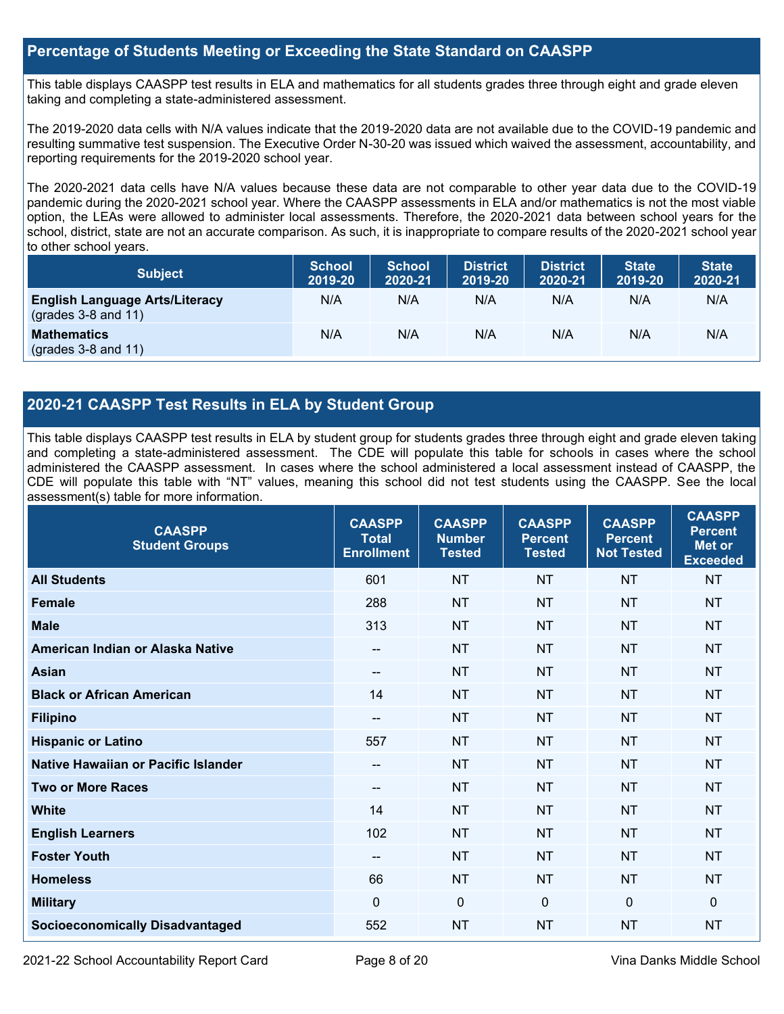#### **Percentage of Students Meeting or Exceeding the State Standard on CAASPP**

This table displays CAASPP test results in ELA and mathematics for all students grades three through eight and grade eleven taking and completing a state-administered assessment.

The 2019-2020 data cells with N/A values indicate that the 2019-2020 data are not available due to the COVID-19 pandemic and resulting summative test suspension. The Executive Order N-30-20 was issued which waived the assessment, accountability, and reporting requirements for the 2019-2020 school year.

The 2020-2021 data cells have N/A values because these data are not comparable to other year data due to the COVID-19 pandemic during the 2020-2021 school year. Where the CAASPP assessments in ELA and/or mathematics is not the most viable option, the LEAs were allowed to administer local assessments. Therefore, the 2020-2021 data between school years for the school, district, state are not an accurate comparison. As such, it is inappropriate to compare results of the 2020-2021 school year to other school years.

| <b>Subject</b>                                                       | <b>School</b><br>2019-20 | <b>School</b><br>2020-21 | <b>District</b><br>2019-20 | <b>District</b><br>2020-21 | <b>State</b><br>2019-20 | <b>State</b><br>2020-21 |
|----------------------------------------------------------------------|--------------------------|--------------------------|----------------------------|----------------------------|-------------------------|-------------------------|
| <b>English Language Arts/Literacy</b><br>$\left($ grades 3-8 and 11) | N/A                      | N/A                      | N/A                        | N/A                        | N/A                     | N/A                     |
| <b>Mathematics</b><br>$(grades 3-8 and 11)$                          | N/A                      | N/A                      | N/A                        | N/A                        | N/A                     | N/A                     |

### **2020-21 CAASPP Test Results in ELA by Student Group**

This table displays CAASPP test results in ELA by student group for students grades three through eight and grade eleven taking and completing a state-administered assessment. The CDE will populate this table for schools in cases where the school administered the CAASPP assessment. In cases where the school administered a local assessment instead of CAASPP, the CDE will populate this table with "NT" values, meaning this school did not test students using the CAASPP. See the local assessment(s) table for more information.

| <b>CAASPP</b><br><b>Student Groups</b> | <b>CAASPP</b><br><b>Total</b><br><b>Enrollment</b> | <b>CAASPP</b><br><b>Number</b><br><b>Tested</b> | <b>CAASPP</b><br><b>Percent</b><br><b>Tested</b> | <b>CAASPP</b><br><b>Percent</b><br><b>Not Tested</b> | <b>CAASPP</b><br><b>Percent</b><br>Met or<br><b>Exceeded</b> |
|----------------------------------------|----------------------------------------------------|-------------------------------------------------|--------------------------------------------------|------------------------------------------------------|--------------------------------------------------------------|
| <b>All Students</b>                    | 601                                                | <b>NT</b>                                       | <b>NT</b>                                        | <b>NT</b>                                            | <b>NT</b>                                                    |
| <b>Female</b>                          | 288                                                | <b>NT</b>                                       | <b>NT</b>                                        | <b>NT</b>                                            | <b>NT</b>                                                    |
| <b>Male</b>                            | 313                                                | <b>NT</b>                                       | <b>NT</b>                                        | <b>NT</b>                                            | <b>NT</b>                                                    |
| American Indian or Alaska Native       | $\qquad \qquad -$                                  | <b>NT</b>                                       | <b>NT</b>                                        | <b>NT</b>                                            | <b>NT</b>                                                    |
| <b>Asian</b>                           | $\qquad \qquad -$                                  | <b>NT</b>                                       | <b>NT</b>                                        | <b>NT</b>                                            | <b>NT</b>                                                    |
| <b>Black or African American</b>       | 14                                                 | <b>NT</b>                                       | <b>NT</b>                                        | <b>NT</b>                                            | <b>NT</b>                                                    |
| <b>Filipino</b>                        | $\qquad \qquad -$                                  | <b>NT</b>                                       | <b>NT</b>                                        | <b>NT</b>                                            | <b>NT</b>                                                    |
| <b>Hispanic or Latino</b>              | 557                                                | <b>NT</b>                                       | <b>NT</b>                                        | <b>NT</b>                                            | <b>NT</b>                                                    |
| Native Hawaiian or Pacific Islander    | $- -$                                              | <b>NT</b>                                       | <b>NT</b>                                        | <b>NT</b>                                            | <b>NT</b>                                                    |
| <b>Two or More Races</b>               | $- -$                                              | <b>NT</b>                                       | <b>NT</b>                                        | <b>NT</b>                                            | <b>NT</b>                                                    |
| <b>White</b>                           | 14                                                 | <b>NT</b>                                       | <b>NT</b>                                        | <b>NT</b>                                            | <b>NT</b>                                                    |
| <b>English Learners</b>                | 102                                                | <b>NT</b>                                       | <b>NT</b>                                        | <b>NT</b>                                            | <b>NT</b>                                                    |
| <b>Foster Youth</b>                    | $\qquad \qquad -$                                  | <b>NT</b>                                       | <b>NT</b>                                        | <b>NT</b>                                            | <b>NT</b>                                                    |
| <b>Homeless</b>                        | 66                                                 | <b>NT</b>                                       | <b>NT</b>                                        | <b>NT</b>                                            | <b>NT</b>                                                    |
| <b>Military</b>                        | $\Omega$                                           | $\mathbf 0$                                     | $\Omega$                                         | $\mathbf{0}$                                         | 0                                                            |
| <b>Socioeconomically Disadvantaged</b> | 552                                                | <b>NT</b>                                       | <b>NT</b>                                        | <b>NT</b>                                            | <b>NT</b>                                                    |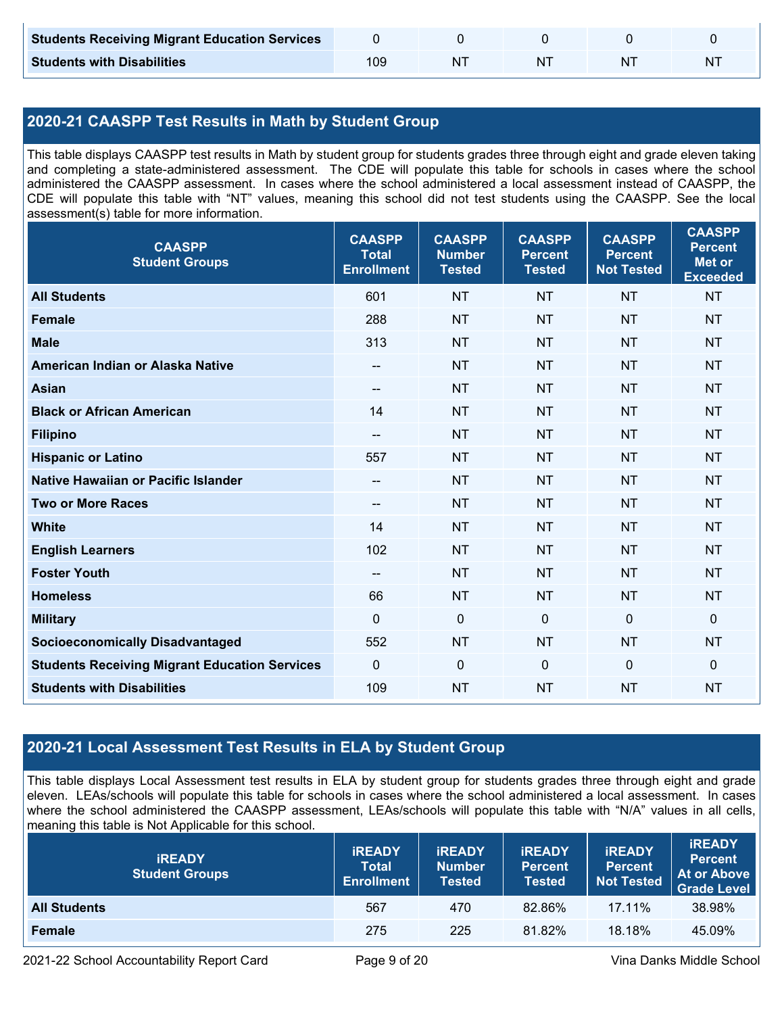| <b>Students Receiving Migrant Education Services</b> |     |  |    |   |
|------------------------------------------------------|-----|--|----|---|
| <b>Students with Disabilities</b>                    | 109 |  | ΝI | N |

# **2020-21 CAASPP Test Results in Math by Student Group**

This table displays CAASPP test results in Math by student group for students grades three through eight and grade eleven taking and completing a state-administered assessment. The CDE will populate this table for schools in cases where the school administered the CAASPP assessment. In cases where the school administered a local assessment instead of CAASPP, the CDE will populate this table with "NT" values, meaning this school did not test students using the CAASPP. See the local assessment(s) table for more information.

| <b>CAASPP</b><br><b>Student Groups</b>               | <b>CAASPP</b><br><b>Total</b><br><b>Enrollment</b> | <b>CAASPP</b><br><b>Number</b><br><b>Tested</b> | <b>CAASPP</b><br><b>Percent</b><br><b>Tested</b> | <b>CAASPP</b><br><b>Percent</b><br><b>Not Tested</b> | <b>CAASPP</b><br><b>Percent</b><br><b>Met or</b><br><b>Exceeded</b> |
|------------------------------------------------------|----------------------------------------------------|-------------------------------------------------|--------------------------------------------------|------------------------------------------------------|---------------------------------------------------------------------|
| <b>All Students</b>                                  | 601                                                | <b>NT</b>                                       | <b>NT</b>                                        | <b>NT</b>                                            | <b>NT</b>                                                           |
| <b>Female</b>                                        | 288                                                | <b>NT</b>                                       | <b>NT</b>                                        | <b>NT</b>                                            | <b>NT</b>                                                           |
| <b>Male</b>                                          | 313                                                | <b>NT</b>                                       | <b>NT</b>                                        | <b>NT</b>                                            | <b>NT</b>                                                           |
| American Indian or Alaska Native                     | --                                                 | <b>NT</b>                                       | <b>NT</b>                                        | <b>NT</b>                                            | <b>NT</b>                                                           |
| <b>Asian</b>                                         | --                                                 | <b>NT</b>                                       | <b>NT</b>                                        | <b>NT</b>                                            | <b>NT</b>                                                           |
| <b>Black or African American</b>                     | 14                                                 | <b>NT</b>                                       | <b>NT</b>                                        | <b>NT</b>                                            | <b>NT</b>                                                           |
| <b>Filipino</b>                                      | $\overline{\phantom{a}}$                           | <b>NT</b>                                       | <b>NT</b>                                        | <b>NT</b>                                            | <b>NT</b>                                                           |
| <b>Hispanic or Latino</b>                            | 557                                                | <b>NT</b>                                       | <b>NT</b>                                        | <b>NT</b>                                            | <b>NT</b>                                                           |
| <b>Native Hawaiian or Pacific Islander</b>           | $-$                                                | <b>NT</b>                                       | <b>NT</b>                                        | <b>NT</b>                                            | <b>NT</b>                                                           |
| <b>Two or More Races</b>                             | --                                                 | <b>NT</b>                                       | <b>NT</b>                                        | <b>NT</b>                                            | <b>NT</b>                                                           |
| <b>White</b>                                         | 14                                                 | <b>NT</b>                                       | <b>NT</b>                                        | <b>NT</b>                                            | <b>NT</b>                                                           |
| <b>English Learners</b>                              | 102                                                | <b>NT</b>                                       | <b>NT</b>                                        | <b>NT</b>                                            | <b>NT</b>                                                           |
| <b>Foster Youth</b>                                  | --                                                 | <b>NT</b>                                       | <b>NT</b>                                        | <b>NT</b>                                            | <b>NT</b>                                                           |
| <b>Homeless</b>                                      | 66                                                 | <b>NT</b>                                       | <b>NT</b>                                        | <b>NT</b>                                            | <b>NT</b>                                                           |
| <b>Military</b>                                      | $\mathbf{0}$                                       | $\mathbf 0$                                     | $\mathbf 0$                                      | $\mathbf 0$                                          | $\mathbf 0$                                                         |
| <b>Socioeconomically Disadvantaged</b>               | 552                                                | <b>NT</b>                                       | <b>NT</b>                                        | <b>NT</b>                                            | <b>NT</b>                                                           |
| <b>Students Receiving Migrant Education Services</b> | $\mathbf 0$                                        | $\mathbf 0$                                     | $\mathbf 0$                                      | $\mathbf 0$                                          | $\mathbf 0$                                                         |
| <b>Students with Disabilities</b>                    | 109                                                | <b>NT</b>                                       | <b>NT</b>                                        | <b>NT</b>                                            | <b>NT</b>                                                           |

# **2020-21 Local Assessment Test Results in ELA by Student Group**

This table displays Local Assessment test results in ELA by student group for students grades three through eight and grade eleven. LEAs/schools will populate this table for schools in cases where the school administered a local assessment. In cases where the school administered the CAASPP assessment, LEAs/schools will populate this table with "N/A" values in all cells, meaning this table is Not Applicable for this school.

| <b>IREADY</b><br><b>Student Groups</b> | <b>IREADY</b><br><b>Total</b><br>Enrollment | <b>IREADY</b><br><b>Number</b><br>Tested | <b><i>IREADY</i></b><br><b>Percent</b><br><b>Tested</b> | <b>IREADY</b><br><b>Percent</b><br><b>Not Tested</b> | <b>IREADY</b><br><b>Percent</b><br>At or Above<br><b>Grade Level</b> |
|----------------------------------------|---------------------------------------------|------------------------------------------|---------------------------------------------------------|------------------------------------------------------|----------------------------------------------------------------------|
| <b>All Students</b>                    | 567                                         | 470                                      | 82.86%                                                  | $17.11\%$                                            | 38.98%                                                               |
| <b>Female</b>                          | 275                                         | 225                                      | 81.82%                                                  | 18.18%                                               | 45.09%                                                               |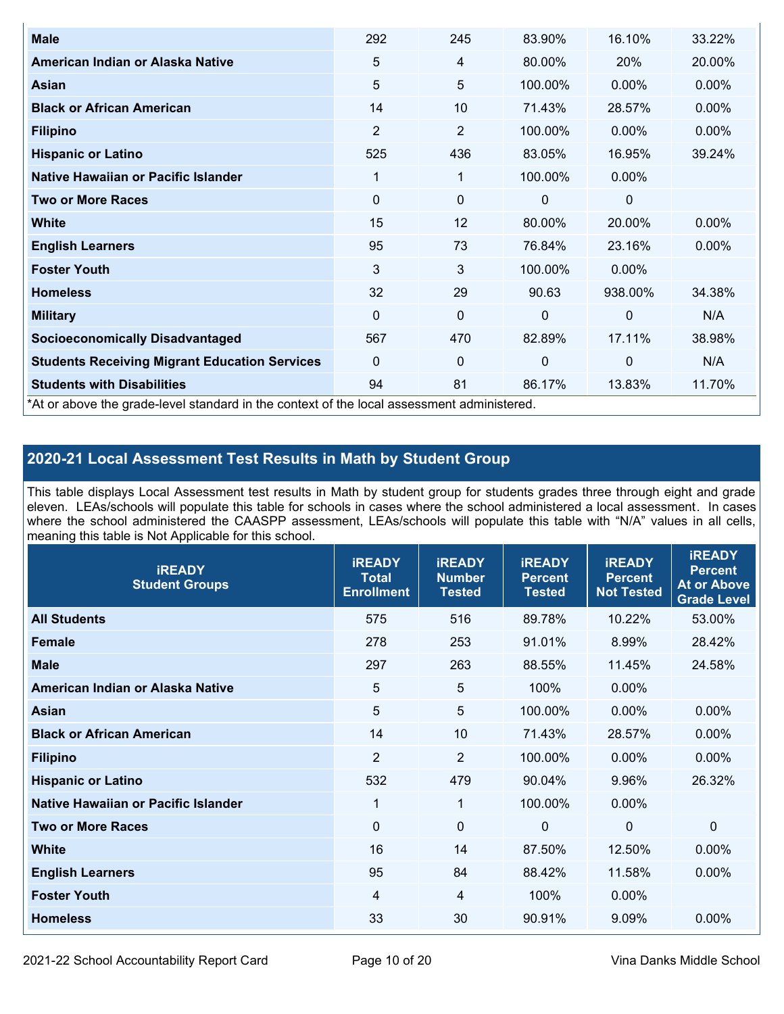| <b>Male</b>                                                                                | 292      | 245         | 83.90%       | 16.10%      | 33.22%   |
|--------------------------------------------------------------------------------------------|----------|-------------|--------------|-------------|----------|
| American Indian or Alaska Native                                                           | 5        | 4           | 80.00%       | 20%         | 20.00%   |
| Asian                                                                                      | 5        | 5           | 100.00%      | $0.00\%$    | $0.00\%$ |
| <b>Black or African American</b>                                                           | 14       | 10          | 71.43%       | 28.57%      | 0.00%    |
| <b>Filipino</b>                                                                            | 2        | 2           | 100.00%      | $0.00\%$    | 0.00%    |
| <b>Hispanic or Latino</b>                                                                  | 525      | 436         | 83.05%       | 16.95%      | 39.24%   |
| Native Hawaiian or Pacific Islander                                                        | 1        | 1           | 100.00%      | $0.00\%$    |          |
| <b>Two or More Races</b>                                                                   | 0        | 0           | 0            | 0           |          |
| <b>White</b>                                                                               | 15       | 12          | 80.00%       | 20.00%      | $0.00\%$ |
| <b>English Learners</b>                                                                    | 95       | 73          | 76.84%       | 23.16%      | $0.00\%$ |
| <b>Foster Youth</b>                                                                        | 3        | 3           | 100.00%      | $0.00\%$    |          |
| <b>Homeless</b>                                                                            | 32       | 29          | 90.63        | 938.00%     | 34.38%   |
| <b>Military</b>                                                                            | $\Omega$ | $\mathbf 0$ | $\mathbf{0}$ | 0           | N/A      |
| <b>Socioeconomically Disadvantaged</b>                                                     | 567      | 470         | 82.89%       | 17.11%      | 38.98%   |
| <b>Students Receiving Migrant Education Services</b>                                       | $\Omega$ | 0           | 0            | $\mathbf 0$ | N/A      |
| <b>Students with Disabilities</b>                                                          | 94       | 81          | 86.17%       | 13.83%      | 11.70%   |
| *At or above the grade-level standard in the context of the local assessment administered. |          |             |              |             |          |

# **2020-21 Local Assessment Test Results in Math by Student Group**

This table displays Local Assessment test results in Math by student group for students grades three through eight and grade eleven. LEAs/schools will populate this table for schools in cases where the school administered a local assessment. In cases where the school administered the CAASPP assessment, LEAs/schools will populate this table with "N/A" values in all cells, meaning this table is Not Applicable for this school.

| <b>IREADY</b><br><b>Student Groups</b> | <b>IREADY</b><br><b>Total</b><br><b>Enrollment</b> | <b>IREADY</b><br><b>Number</b><br><b>Tested</b> | <b>iREADY</b><br><b>Percent</b><br><b>Tested</b> | <b>IREADY</b><br><b>Percent</b><br><b>Not Tested</b> | <b>IREADY</b><br><b>Percent</b><br><b>At or Above</b><br><b>Grade Level</b> |
|----------------------------------------|----------------------------------------------------|-------------------------------------------------|--------------------------------------------------|------------------------------------------------------|-----------------------------------------------------------------------------|
| <b>All Students</b>                    | 575                                                | 516                                             | 89.78%                                           | 10.22%                                               | 53.00%                                                                      |
| <b>Female</b>                          | 278                                                | 253                                             | 91.01%                                           | 8.99%                                                | 28.42%                                                                      |
| <b>Male</b>                            | 297                                                | 263                                             | 88.55%                                           | 11.45%                                               | 24.58%                                                                      |
| American Indian or Alaska Native       | $\sqrt{5}$                                         | 5                                               | 100%                                             | 0.00%                                                |                                                                             |
| Asian                                  | 5                                                  | 5                                               | 100.00%                                          | 0.00%                                                | 0.00%                                                                       |
| <b>Black or African American</b>       | 14                                                 | 10                                              | 71.43%                                           | 28.57%                                               | 0.00%                                                                       |
| <b>Filipino</b>                        | $\overline{2}$                                     | $\overline{2}$                                  | 100.00%                                          | 0.00%                                                | $0.00\%$                                                                    |
| <b>Hispanic or Latino</b>              | 532                                                | 479                                             | 90.04%                                           | 9.96%                                                | 26.32%                                                                      |
| Native Hawaiian or Pacific Islander    | 1                                                  | $\mathbf{1}$                                    | 100.00%                                          | 0.00%                                                |                                                                             |
| <b>Two or More Races</b>               | $\Omega$                                           | $\mathbf 0$                                     | $\mathbf{0}$                                     | $\mathbf 0$                                          | $\Omega$                                                                    |
| <b>White</b>                           | 16                                                 | 14                                              | 87.50%                                           | 12.50%                                               | $0.00\%$                                                                    |
| <b>English Learners</b>                | 95                                                 | 84                                              | 88.42%                                           | 11.58%                                               | $0.00\%$                                                                    |
| <b>Foster Youth</b>                    | 4                                                  | 4                                               | 100%                                             | 0.00%                                                |                                                                             |
| <b>Homeless</b>                        | 33                                                 | 30                                              | 90.91%                                           | 9.09%                                                | 0.00%                                                                       |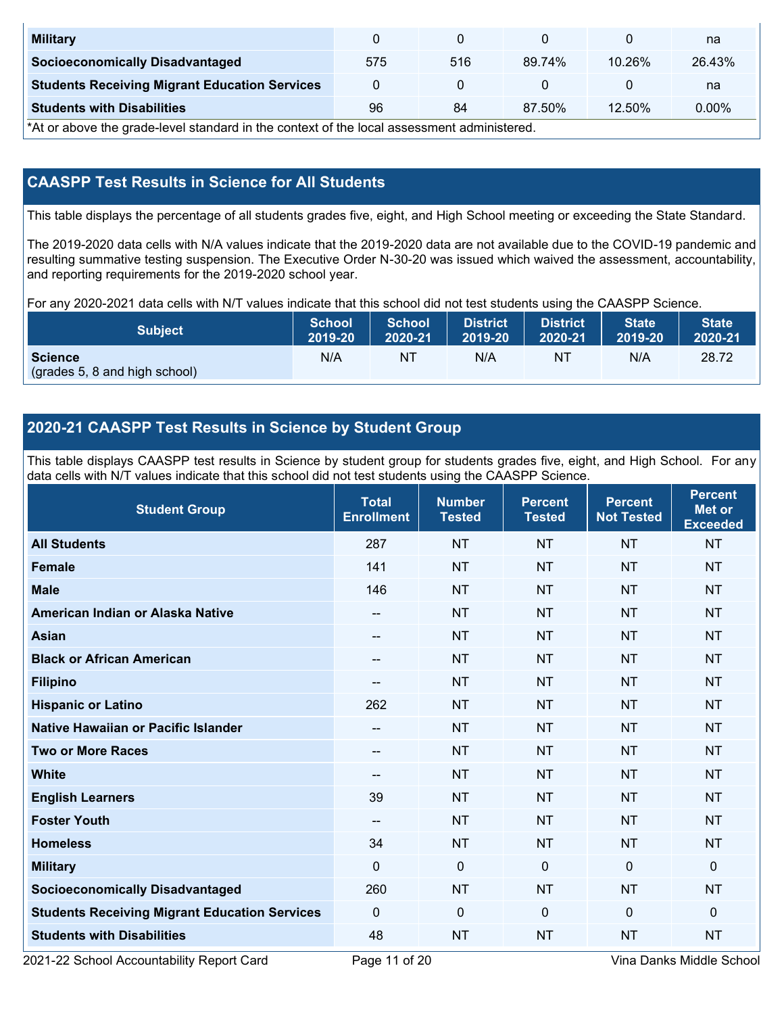| <b>Military</b>                                      |     |     |        |           | na     |
|------------------------------------------------------|-----|-----|--------|-----------|--------|
| <b>Socioeconomically Disadvantaged</b>               | 575 | 516 | 89.74% | 10.26%    | 26.43% |
| <b>Students Receiving Migrant Education Services</b> |     |     |        |           | na     |
| <b>Students with Disabilities</b>                    | 96  | 84  | 87.50% | $12.50\%$ | 0.00%  |

\*At or above the grade-level standard in the context of the local assessment administered.

## **CAASPP Test Results in Science for All Students**

This table displays the percentage of all students grades five, eight, and High School meeting or exceeding the State Standard.

The 2019-2020 data cells with N/A values indicate that the 2019-2020 data are not available due to the COVID-19 pandemic and resulting summative testing suspension. The Executive Order N-30-20 was issued which waived the assessment, accountability, and reporting requirements for the 2019-2020 school year.

For any 2020-2021 data cells with N/T values indicate that this school did not test students using the CAASPP Science.

| <b>Subject</b>                                  | <b>School</b> | <b>School</b> | <b>District</b> | <b>District</b> | <b>State</b> | <b>State</b> |
|-------------------------------------------------|---------------|---------------|-----------------|-----------------|--------------|--------------|
|                                                 | 2019-20       | 2020-21       | 2019-20         | 2020-21         | 2019-20      | 2020-21      |
| <b>Science</b><br>(grades 5, 8 and high school) | N/A           | ΝT            | N/A             | N1              | N/A          | 28.72        |

### **2020-21 CAASPP Test Results in Science by Student Group**

This table displays CAASPP test results in Science by student group for students grades five, eight, and High School. For any data cells with N/T values indicate that this school did not test students using the CAASPP Science.

| <b>Student Group</b>                                 | <b>Total</b><br><b>Enrollment</b> | <b>Number</b><br><b>Tested</b> | <b>Percent</b><br><b>Tested</b> | <b>Percent</b><br><b>Not Tested</b> | <b>Percent</b><br>Met or<br><b>Exceeded</b> |
|------------------------------------------------------|-----------------------------------|--------------------------------|---------------------------------|-------------------------------------|---------------------------------------------|
| <b>All Students</b>                                  | 287                               | <b>NT</b>                      | <b>NT</b>                       | <b>NT</b>                           | <b>NT</b>                                   |
| <b>Female</b>                                        | 141                               | <b>NT</b>                      | <b>NT</b>                       | <b>NT</b>                           | <b>NT</b>                                   |
| <b>Male</b>                                          | 146                               | <b>NT</b>                      | <b>NT</b>                       | <b>NT</b>                           | <b>NT</b>                                   |
| American Indian or Alaska Native                     | $\qquad \qquad -$                 | <b>NT</b>                      | <b>NT</b>                       | <b>NT</b>                           | <b>NT</b>                                   |
| <b>Asian</b>                                         | $\qquad \qquad -$                 | <b>NT</b>                      | <b>NT</b>                       | <b>NT</b>                           | <b>NT</b>                                   |
| <b>Black or African American</b>                     | --                                | <b>NT</b>                      | <b>NT</b>                       | <b>NT</b>                           | <b>NT</b>                                   |
| <b>Filipino</b>                                      | --                                | <b>NT</b>                      | <b>NT</b>                       | <b>NT</b>                           | NT                                          |
| <b>Hispanic or Latino</b>                            | 262                               | <b>NT</b>                      | <b>NT</b>                       | <b>NT</b>                           | <b>NT</b>                                   |
| Native Hawaiian or Pacific Islander                  | --                                | <b>NT</b>                      | <b>NT</b>                       | <b>NT</b>                           | <b>NT</b>                                   |
| <b>Two or More Races</b>                             | --                                | <b>NT</b>                      | <b>NT</b>                       | <b>NT</b>                           | <b>NT</b>                                   |
| <b>White</b>                                         | --                                | <b>NT</b>                      | <b>NT</b>                       | <b>NT</b>                           | <b>NT</b>                                   |
| <b>English Learners</b>                              | 39                                | <b>NT</b>                      | <b>NT</b>                       | <b>NT</b>                           | <b>NT</b>                                   |
| <b>Foster Youth</b>                                  | $\overline{\phantom{a}}$          | <b>NT</b>                      | <b>NT</b>                       | <b>NT</b>                           | <b>NT</b>                                   |
| <b>Homeless</b>                                      | 34                                | <b>NT</b>                      | <b>NT</b>                       | <b>NT</b>                           | <b>NT</b>                                   |
| <b>Military</b>                                      | $\mathbf 0$                       | $\mathbf 0$                    | $\mathbf{0}$                    | $\overline{0}$                      | 0                                           |
| <b>Socioeconomically Disadvantaged</b>               | 260                               | <b>NT</b>                      | <b>NT</b>                       | <b>NT</b>                           | <b>NT</b>                                   |
| <b>Students Receiving Migrant Education Services</b> | $\mathbf{0}$                      | $\mathbf 0$                    | $\mathbf{0}$                    | $\mathbf{0}$                        | 0                                           |
| <b>Students with Disabilities</b>                    | 48                                | <b>NT</b>                      | <b>NT</b>                       | <b>NT</b>                           | <b>NT</b>                                   |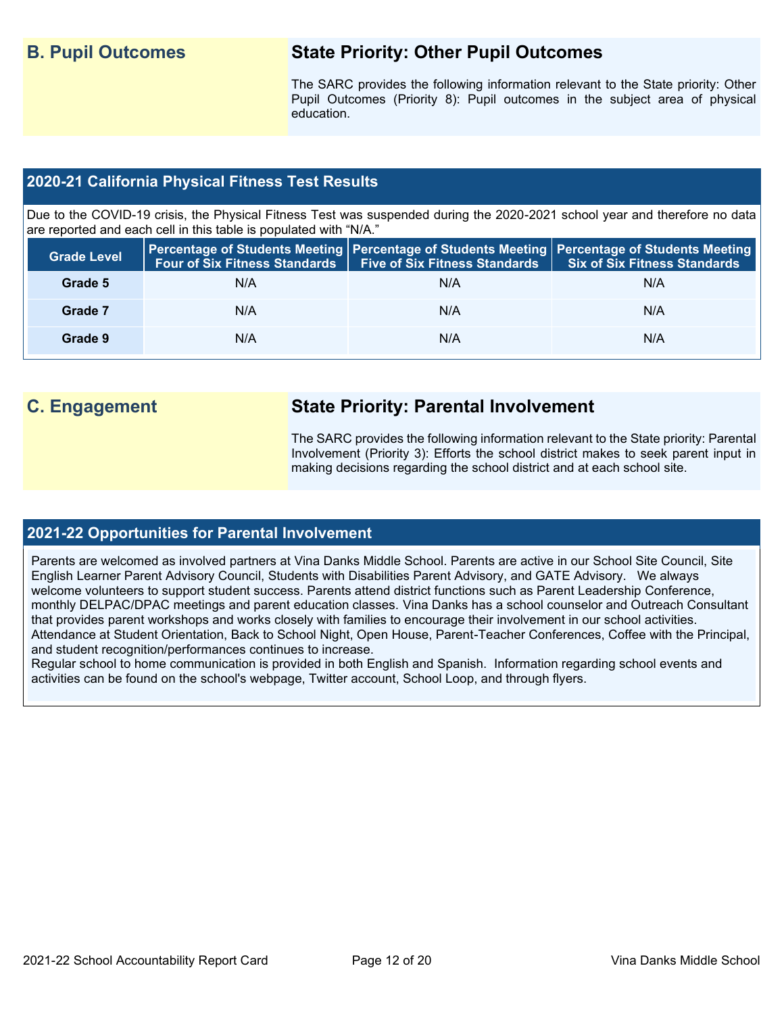# **B. Pupil Outcomes State Priority: Other Pupil Outcomes**

The SARC provides the following information relevant to the State priority: Other Pupil Outcomes (Priority 8): Pupil outcomes in the subject area of physical education.

### **2020-21 California Physical Fitness Test Results**

Due to the COVID-19 crisis, the Physical Fitness Test was suspended during the 2020-2021 school year and therefore no data are reported and each cell in this table is populated with "N/A."

| <b>Grade Level</b> |     | Four of Six Fitness Standards   Five of Six Fitness Standards | <b>Percentage of Students Meeting   Percentage of Students Meeting   Percentage of Students Meeting  </b><br><b>Six of Six Fitness Standards</b> |
|--------------------|-----|---------------------------------------------------------------|--------------------------------------------------------------------------------------------------------------------------------------------------|
| Grade 5            | N/A | N/A                                                           | N/A                                                                                                                                              |
| Grade 7            | N/A | N/A                                                           | N/A                                                                                                                                              |
| Grade 9            | N/A | N/A                                                           | N/A                                                                                                                                              |

# **C. Engagement State Priority: Parental Involvement**

The SARC provides the following information relevant to the State priority: Parental Involvement (Priority 3): Efforts the school district makes to seek parent input in making decisions regarding the school district and at each school site.

#### **2021-22 Opportunities for Parental Involvement**

Parents are welcomed as involved partners at Vina Danks Middle School. Parents are active in our School Site Council, Site English Learner Parent Advisory Council, Students with Disabilities Parent Advisory, and GATE Advisory. We always welcome volunteers to support student success. Parents attend district functions such as Parent Leadership Conference, monthly DELPAC/DPAC meetings and parent education classes. Vina Danks has a school counselor and Outreach Consultant that provides parent workshops and works closely with families to encourage their involvement in our school activities. Attendance at Student Orientation, Back to School Night, Open House, Parent-Teacher Conferences, Coffee with the Principal, and student recognition/performances continues to increase.

Regular school to home communication is provided in both English and Spanish. Information regarding school events and activities can be found on the school's webpage, Twitter account, School Loop, and through flyers.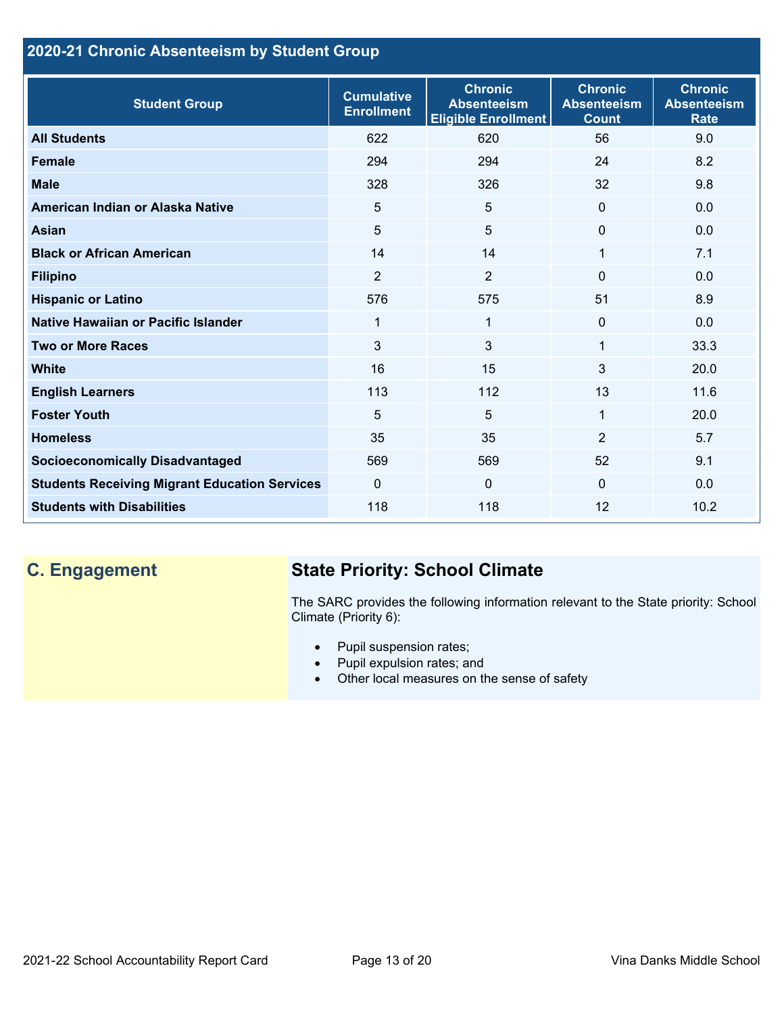# **2020-21 Chronic Absenteeism by Student Group**

| <b>Student Group</b>                                 | <b>Cumulative</b><br><b>Enrollment</b> | <b>Chronic</b><br><b>Absenteeism</b><br><b>Eligible Enrollment</b> | <b>Chronic</b><br><b>Absenteeism</b><br><b>Count</b> | <b>Chronic</b><br><b>Absenteeism</b><br><b>Rate</b> |
|------------------------------------------------------|----------------------------------------|--------------------------------------------------------------------|------------------------------------------------------|-----------------------------------------------------|
| <b>All Students</b>                                  | 622                                    | 620                                                                | 56                                                   | 9.0                                                 |
| <b>Female</b>                                        | 294                                    | 294                                                                | 24                                                   | 8.2                                                 |
| <b>Male</b>                                          | 328                                    | 326                                                                | 32                                                   | 9.8                                                 |
| American Indian or Alaska Native                     | 5                                      | 5                                                                  | $\mathbf{0}$                                         | 0.0                                                 |
| <b>Asian</b>                                         | 5                                      | 5                                                                  | $\mathbf 0$                                          | 0.0                                                 |
| <b>Black or African American</b>                     | 14                                     | 14                                                                 | 1                                                    | 7.1                                                 |
| <b>Filipino</b>                                      | $\overline{2}$                         | $\overline{2}$                                                     | $\Omega$                                             | 0.0                                                 |
| <b>Hispanic or Latino</b>                            | 576                                    | 575                                                                | 51                                                   | 8.9                                                 |
| Native Hawaiian or Pacific Islander                  | 1                                      | $\mathbf{1}$                                                       | $\mathbf 0$                                          | 0.0                                                 |
| <b>Two or More Races</b>                             | 3                                      | 3                                                                  | 1                                                    | 33.3                                                |
| <b>White</b>                                         | 16                                     | 15                                                                 | 3                                                    | 20.0                                                |
| <b>English Learners</b>                              | 113                                    | 112                                                                | 13                                                   | 11.6                                                |
| <b>Foster Youth</b>                                  | 5                                      | 5                                                                  | 1                                                    | 20.0                                                |
| <b>Homeless</b>                                      | 35                                     | 35                                                                 | $\overline{2}$                                       | 5.7                                                 |
| <b>Socioeconomically Disadvantaged</b>               | 569                                    | 569                                                                | 52                                                   | 9.1                                                 |
| <b>Students Receiving Migrant Education Services</b> | $\mathbf{0}$                           | $\mathbf 0$                                                        | $\Omega$                                             | 0.0                                                 |
| <b>Students with Disabilities</b>                    | 118                                    | 118                                                                | 12                                                   | 10.2                                                |

# **C. Engagement State Priority: School Climate**

The SARC provides the following information relevant to the State priority: School Climate (Priority 6):

- Pupil suspension rates;
- Pupil expulsion rates; and
- Other local measures on the sense of safety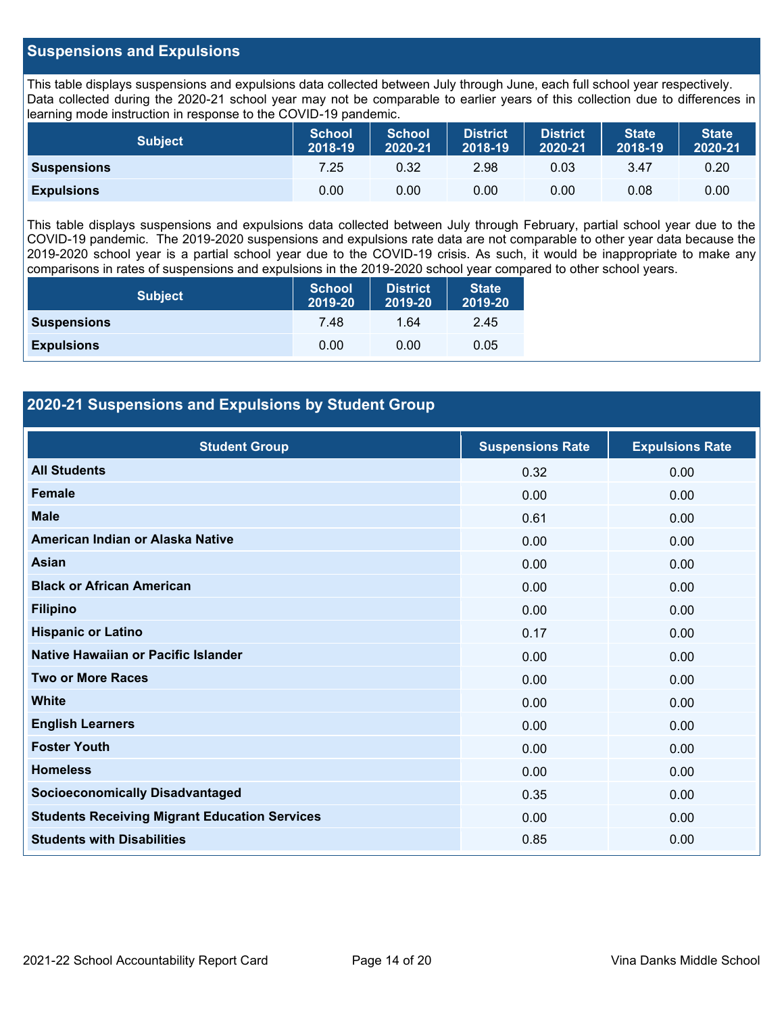#### **Suspensions and Expulsions**

This table displays suspensions and expulsions data collected between July through June, each full school year respectively. Data collected during the 2020-21 school year may not be comparable to earlier years of this collection due to differences in learning mode instruction in response to the COVID-19 pandemic.

| <b>Subject</b>     | <b>School</b><br>2018-19 | <b>School</b><br>2020-21 | <b>District</b><br>2018-19 | <b>District</b><br>2020-21 | <b>State</b><br>2018-19 | <b>State</b><br>2020-21 |
|--------------------|--------------------------|--------------------------|----------------------------|----------------------------|-------------------------|-------------------------|
| <b>Suspensions</b> | 7.25                     | 0.32                     | 2.98                       | 0.03                       | 3.47                    | 0.20                    |
| <b>Expulsions</b>  | 0.00                     | 0.00                     | 0.00                       | 0.00                       | 0.08                    | 0.00                    |

This table displays suspensions and expulsions data collected between July through February, partial school year due to the COVID-19 pandemic. The 2019-2020 suspensions and expulsions rate data are not comparable to other year data because the 2019-2020 school year is a partial school year due to the COVID-19 crisis. As such, it would be inappropriate to make any comparisons in rates of suspensions and expulsions in the 2019-2020 school year compared to other school years.

| <b>Subject</b>     | <b>School</b><br>2019-20 | <b>District</b><br>2019-20 | <b>State</b><br>2019-20 |
|--------------------|--------------------------|----------------------------|-------------------------|
| <b>Suspensions</b> | 7.48                     | 1.64                       | 2.45                    |
| <b>Expulsions</b>  | 0.00                     | 0.00                       | 0.05                    |

### **2020-21 Suspensions and Expulsions by Student Group**

| <b>Student Group</b>                                 | <b>Suspensions Rate</b> | <b>Expulsions Rate</b> |
|------------------------------------------------------|-------------------------|------------------------|
| <b>All Students</b>                                  | 0.32                    | 0.00                   |
| <b>Female</b>                                        | 0.00                    | 0.00                   |
| <b>Male</b>                                          | 0.61                    | 0.00                   |
| American Indian or Alaska Native                     | 0.00                    | 0.00                   |
| <b>Asian</b>                                         | 0.00                    | 0.00                   |
| <b>Black or African American</b>                     | 0.00                    | 0.00                   |
| <b>Filipino</b>                                      | 0.00                    | 0.00                   |
| <b>Hispanic or Latino</b>                            | 0.17                    | 0.00                   |
| Native Hawaiian or Pacific Islander                  | 0.00                    | 0.00                   |
| <b>Two or More Races</b>                             | 0.00                    | 0.00                   |
| <b>White</b>                                         | 0.00                    | 0.00                   |
| <b>English Learners</b>                              | 0.00                    | 0.00                   |
| <b>Foster Youth</b>                                  | 0.00                    | 0.00                   |
| <b>Homeless</b>                                      | 0.00                    | 0.00                   |
| <b>Socioeconomically Disadvantaged</b>               | 0.35                    | 0.00                   |
| <b>Students Receiving Migrant Education Services</b> | 0.00                    | 0.00                   |
| <b>Students with Disabilities</b>                    | 0.85                    | 0.00                   |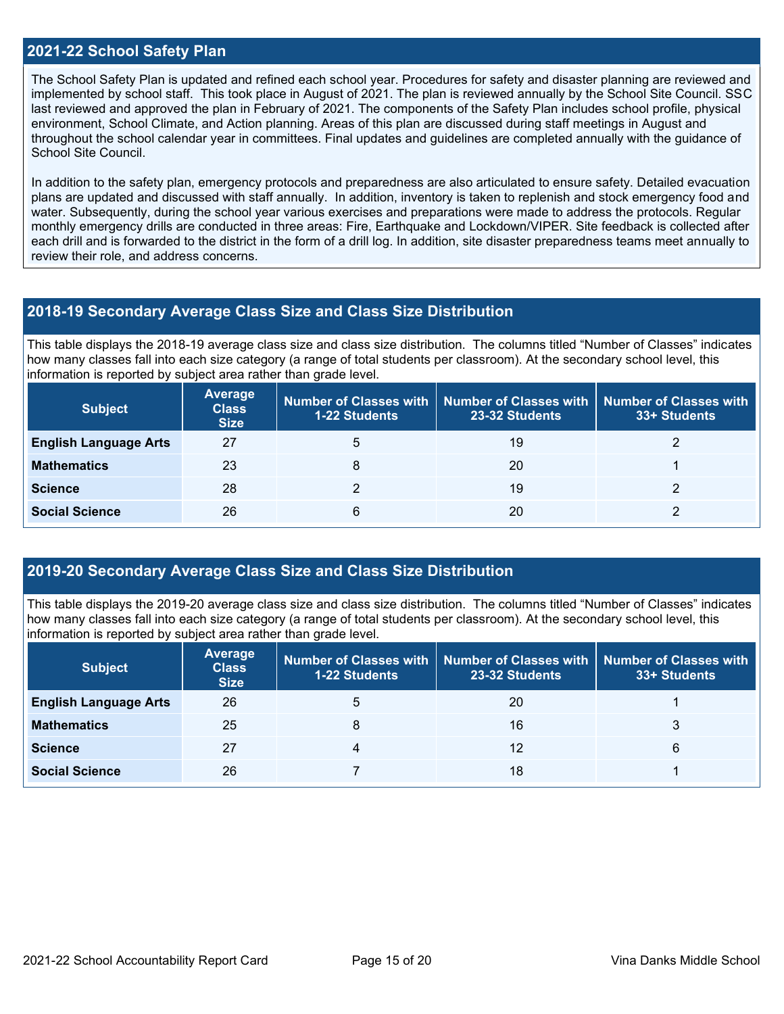#### **2021-22 School Safety Plan**

The School Safety Plan is updated and refined each school year. Procedures for safety and disaster planning are reviewed and implemented by school staff. This took place in August of 2021. The plan is reviewed annually by the School Site Council. SSC last reviewed and approved the plan in February of 2021. The components of the Safety Plan includes school profile, physical environment, School Climate, and Action planning. Areas of this plan are discussed during staff meetings in August and throughout the school calendar year in committees. Final updates and guidelines are completed annually with the guidance of School Site Council.

In addition to the safety plan, emergency protocols and preparedness are also articulated to ensure safety. Detailed evacuation plans are updated and discussed with staff annually. In addition, inventory is taken to replenish and stock emergency food and water. Subsequently, during the school year various exercises and preparations were made to address the protocols. Regular monthly emergency drills are conducted in three areas: Fire, Earthquake and Lockdown/VIPER. Site feedback is collected after each drill and is forwarded to the district in the form of a drill log. In addition, site disaster preparedness teams meet annually to review their role, and address concerns.

#### **2018-19 Secondary Average Class Size and Class Size Distribution**

This table displays the 2018-19 average class size and class size distribution. The columns titled "Number of Classes" indicates how many classes fall into each size category (a range of total students per classroom). At the secondary school level, this information is reported by subject area rather than grade level.

| <b>Subject</b>               | <b>Average</b><br><b>Class</b><br><b>Size</b> | <b>1-22 Students</b> | Number of Classes with   Number of Classes with  <br>23-32 Students | Number of Classes with<br>33+ Students |
|------------------------------|-----------------------------------------------|----------------------|---------------------------------------------------------------------|----------------------------------------|
| <b>English Language Arts</b> | 27                                            | 5                    | 19                                                                  |                                        |
| <b>Mathematics</b>           | 23                                            |                      | 20                                                                  |                                        |
| <b>Science</b>               | 28                                            |                      | 19                                                                  |                                        |
| <b>Social Science</b>        | 26                                            | 6                    | 20                                                                  |                                        |

#### **2019-20 Secondary Average Class Size and Class Size Distribution**

This table displays the 2019-20 average class size and class size distribution. The columns titled "Number of Classes" indicates how many classes fall into each size category (a range of total students per classroom). At the secondary school level, this information is reported by subject area rather than grade level.

| <b>Subject</b>               | Average<br><b>Class</b><br><b>Size</b> | <b>1-22 Students</b> | Number of Classes with   Number of Classes with   Number of Classes with<br>23-32 Students | 33+ Students |
|------------------------------|----------------------------------------|----------------------|--------------------------------------------------------------------------------------------|--------------|
| <b>English Language Arts</b> | 26                                     | 5                    | 20                                                                                         |              |
| <b>Mathematics</b>           | 25                                     | 8                    | 16                                                                                         |              |
| <b>Science</b>               | 27                                     | 4                    | 12                                                                                         | 6            |
| <b>Social Science</b>        | 26                                     |                      | 18                                                                                         |              |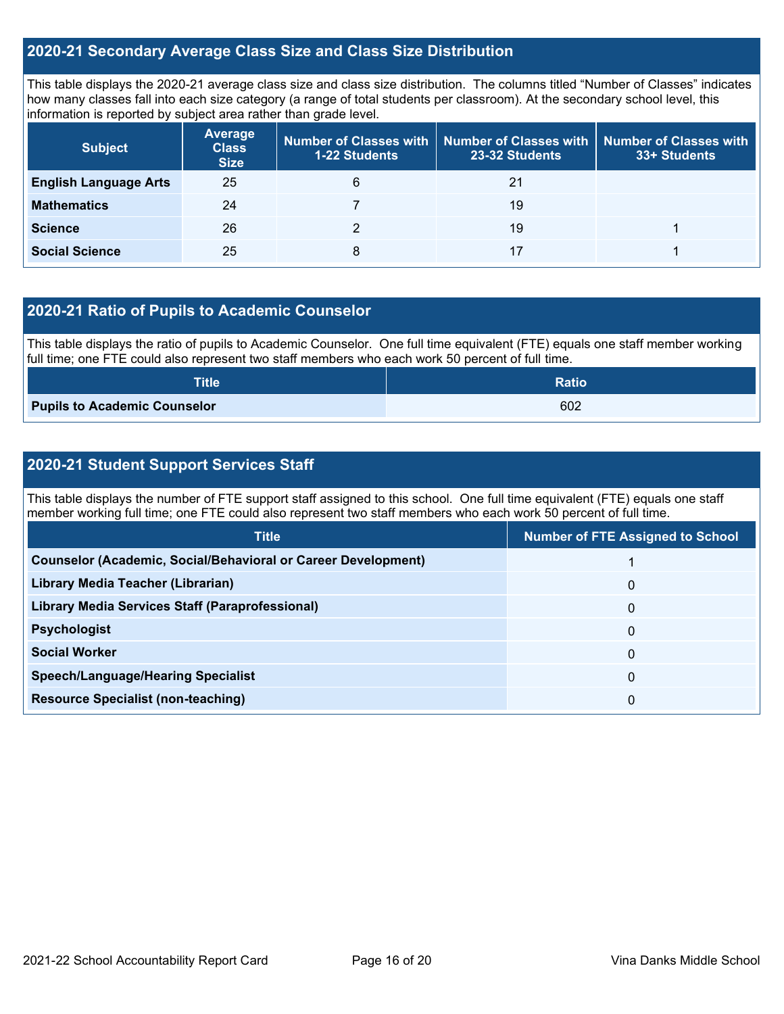#### **2020-21 Secondary Average Class Size and Class Size Distribution**

This table displays the 2020-21 average class size and class size distribution. The columns titled "Number of Classes" indicates how many classes fall into each size category (a range of total students per classroom). At the secondary school level, this information is reported by subject area rather than grade level.

| <b>Subject</b>               | <b>Average</b><br><b>Class</b><br><b>Size</b> | <b>1-22 Students</b> | Number of Classes with   Number of Classes with<br>23-32 Students | <b>Number of Classes with</b><br>33+ Students |
|------------------------------|-----------------------------------------------|----------------------|-------------------------------------------------------------------|-----------------------------------------------|
| <b>English Language Arts</b> | 25                                            | 6                    | 21                                                                |                                               |
| <b>Mathematics</b>           | 24                                            |                      | 19                                                                |                                               |
| <b>Science</b>               | 26                                            |                      | 19                                                                |                                               |
| <b>Social Science</b>        | 25                                            | 8                    | 17                                                                |                                               |

#### **2020-21 Ratio of Pupils to Academic Counselor**

This table displays the ratio of pupils to Academic Counselor. One full time equivalent (FTE) equals one staff member working full time; one FTE could also represent two staff members who each work 50 percent of full time.

| <b>Title</b>                        | <b>Ratio</b> |
|-------------------------------------|--------------|
| <b>Pupils to Academic Counselor</b> | 602          |

### **2020-21 Student Support Services Staff**

This table displays the number of FTE support staff assigned to this school. One full time equivalent (FTE) equals one staff member working full time; one FTE could also represent two staff members who each work 50 percent of full time.

| <b>Title</b>                                                         | <b>Number of FTE Assigned to School</b> |
|----------------------------------------------------------------------|-----------------------------------------|
| <b>Counselor (Academic, Social/Behavioral or Career Development)</b> |                                         |
| Library Media Teacher (Librarian)                                    | $\mathbf{0}$                            |
| Library Media Services Staff (Paraprofessional)                      | $\mathbf{0}$                            |
| <b>Psychologist</b>                                                  | $\mathbf{0}$                            |
| <b>Social Worker</b>                                                 | 0                                       |
| <b>Speech/Language/Hearing Specialist</b>                            | $\mathbf{0}$                            |
| <b>Resource Specialist (non-teaching)</b>                            | 0                                       |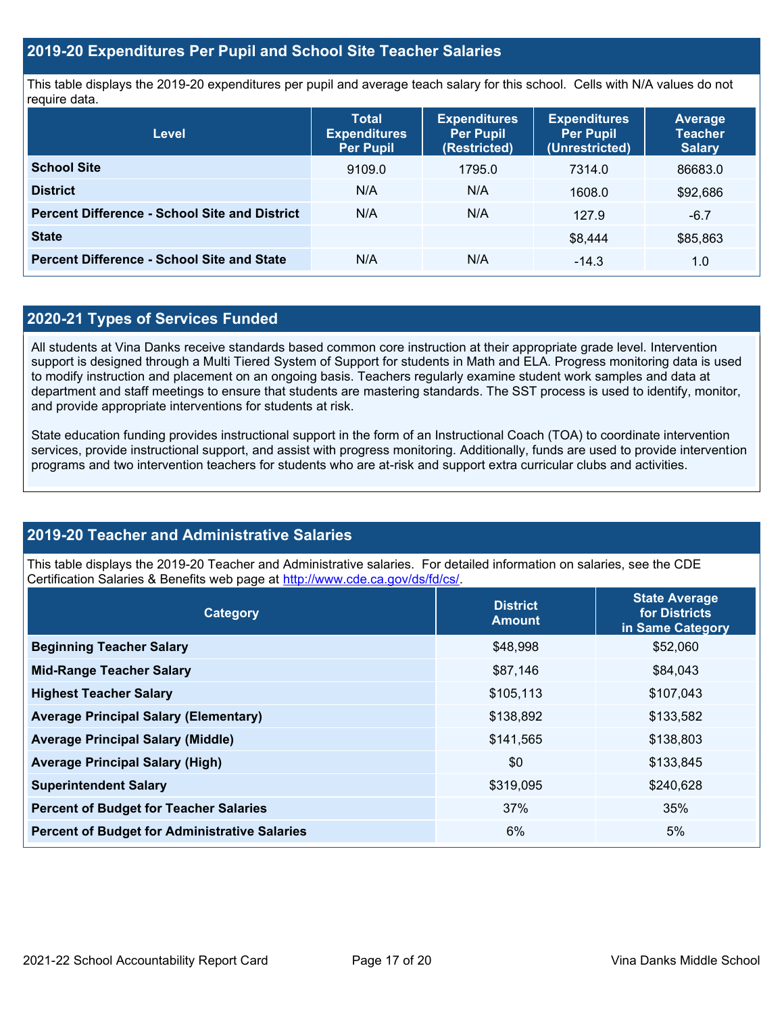#### **2019-20 Expenditures Per Pupil and School Site Teacher Salaries**

This table displays the 2019-20 expenditures per pupil and average teach salary for this school. Cells with N/A values do not require data.

| <b>Level</b>                                         | <b>Total</b><br><b>Expenditures</b><br><b>Per Pupil</b> | <b>Expenditures</b><br><b>Per Pupil</b><br>(Restricted) | <b>Expenditures</b><br><b>Per Pupil</b><br>(Unrestricted) | Average<br><b>Teacher</b><br><b>Salary</b> |
|------------------------------------------------------|---------------------------------------------------------|---------------------------------------------------------|-----------------------------------------------------------|--------------------------------------------|
| <b>School Site</b>                                   | 9109.0                                                  | 1795.0                                                  | 7314.0                                                    | 86683.0                                    |
| <b>District</b>                                      | N/A                                                     | N/A                                                     | 1608.0                                                    | \$92,686                                   |
| <b>Percent Difference - School Site and District</b> | N/A                                                     | N/A                                                     | 127.9                                                     | $-6.7$                                     |
| <b>State</b>                                         |                                                         |                                                         | \$8.444                                                   | \$85,863                                   |
| <b>Percent Difference - School Site and State</b>    | N/A                                                     | N/A                                                     | $-14.3$                                                   | 1.0                                        |

#### **2020-21 Types of Services Funded**

All students at Vina Danks receive standards based common core instruction at their appropriate grade level. Intervention support is designed through a Multi Tiered System of Support for students in Math and ELA. Progress monitoring data is used to modify instruction and placement on an ongoing basis. Teachers regularly examine student work samples and data at department and staff meetings to ensure that students are mastering standards. The SST process is used to identify, monitor, and provide appropriate interventions for students at risk.

State education funding provides instructional support in the form of an Instructional Coach (TOA) to coordinate intervention services, provide instructional support, and assist with progress monitoring. Additionally, funds are used to provide intervention programs and two intervention teachers for students who are at-risk and support extra curricular clubs and activities.

#### **2019-20 Teacher and Administrative Salaries**

This table displays the 2019-20 Teacher and Administrative salaries. For detailed information on salaries, see the CDE Certification Salaries & Benefits web page at [http://www.cde.ca.gov/ds/fd/cs/.](http://www.cde.ca.gov/ds/fd/cs/)

| Category                                             | <b>District</b><br><b>Amount</b> | <b>State Average</b><br>for Districts<br>in Same Category |
|------------------------------------------------------|----------------------------------|-----------------------------------------------------------|
| <b>Beginning Teacher Salary</b>                      | \$48,998                         | \$52,060                                                  |
| <b>Mid-Range Teacher Salary</b>                      | \$87,146                         | \$84,043                                                  |
| <b>Highest Teacher Salary</b>                        | \$105,113                        | \$107,043                                                 |
| <b>Average Principal Salary (Elementary)</b>         | \$138,892                        | \$133,582                                                 |
| <b>Average Principal Salary (Middle)</b>             | \$141,565                        | \$138,803                                                 |
| <b>Average Principal Salary (High)</b>               | \$0                              | \$133,845                                                 |
| <b>Superintendent Salary</b>                         | \$319,095                        | \$240,628                                                 |
| <b>Percent of Budget for Teacher Salaries</b>        | 37%                              | 35%                                                       |
| <b>Percent of Budget for Administrative Salaries</b> | 6%                               | 5%                                                        |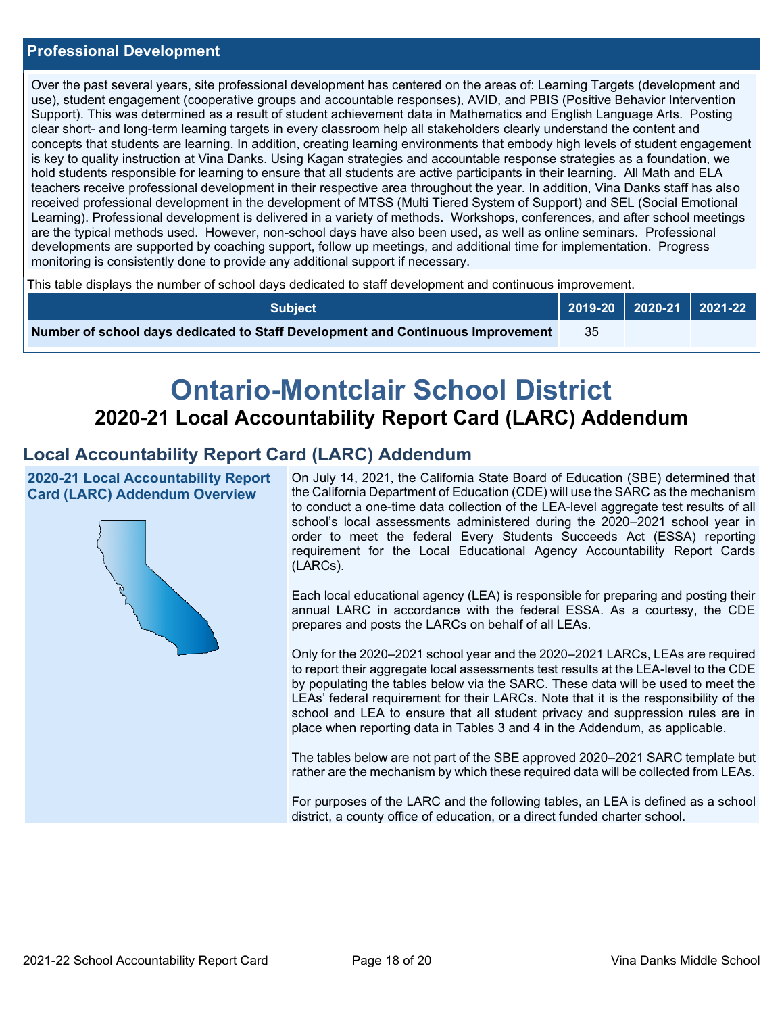#### **Professional Development**

Over the past several years, site professional development has centered on the areas of: Learning Targets (development and use), student engagement (cooperative groups and accountable responses), AVID, and PBIS (Positive Behavior Intervention Support). This was determined as a result of student achievement data in Mathematics and English Language Arts. Posting clear short- and long-term learning targets in every classroom help all stakeholders clearly understand the content and concepts that students are learning. In addition, creating learning environments that embody high levels of student engagement is key to quality instruction at Vina Danks. Using Kagan strategies and accountable response strategies as a foundation, we hold students responsible for learning to ensure that all students are active participants in their learning. All Math and ELA teachers receive professional development in their respective area throughout the year. In addition, Vina Danks staff has also received professional development in the development of MTSS (Multi Tiered System of Support) and SEL (Social Emotional Learning). Professional development is delivered in a variety of methods. Workshops, conferences, and after school meetings are the typical methods used. However, non-school days have also been used, as well as online seminars. Professional developments are supported by coaching support, follow up meetings, and additional time for implementation. Progress monitoring is consistently done to provide any additional support if necessary.

This table displays the number of school days dedicated to staff development and continuous improvement.

| <b>Subject</b>                                                                  |    | 2019-20 2020-21 2021-22 |
|---------------------------------------------------------------------------------|----|-------------------------|
| Number of school days dedicated to Staff Development and Continuous Improvement | 35 |                         |

# **Ontario-Montclair School District 2020-21 Local Accountability Report Card (LARC) Addendum**

# **Local Accountability Report Card (LARC) Addendum**

**2020-21 Local Accountability Report Card (LARC) Addendum Overview**



On July 14, 2021, the California State Board of Education (SBE) determined that the California Department of Education (CDE) will use the SARC as the mechanism to conduct a one-time data collection of the LEA-level aggregate test results of all school's local assessments administered during the 2020–2021 school year in order to meet the federal Every Students Succeeds Act (ESSA) reporting requirement for the Local Educational Agency Accountability Report Cards (LARCs).

Each local educational agency (LEA) is responsible for preparing and posting their annual LARC in accordance with the federal ESSA. As a courtesy, the CDE prepares and posts the LARCs on behalf of all LEAs.

Only for the 2020–2021 school year and the 2020–2021 LARCs, LEAs are required to report their aggregate local assessments test results at the LEA-level to the CDE by populating the tables below via the SARC. These data will be used to meet the LEAs' federal requirement for their LARCs. Note that it is the responsibility of the school and LEA to ensure that all student privacy and suppression rules are in place when reporting data in Tables 3 and 4 in the Addendum, as applicable.

The tables below are not part of the SBE approved 2020–2021 SARC template but rather are the mechanism by which these required data will be collected from LEAs.

For purposes of the LARC and the following tables, an LEA is defined as a school district, a county office of education, or a direct funded charter school.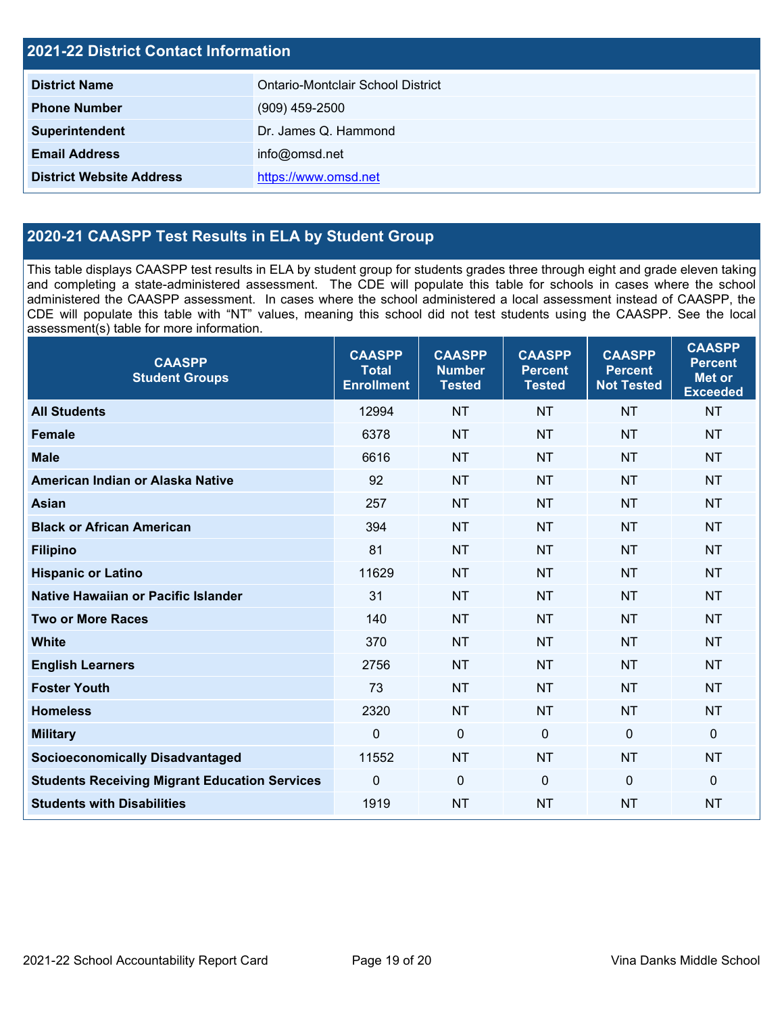| <b>2021-22 District Contact Information</b> |                                   |  |
|---------------------------------------------|-----------------------------------|--|
| <b>District Name</b>                        | Ontario-Montclair School District |  |
| <b>Phone Number</b>                         | $(909)$ 459-2500                  |  |
| Superintendent                              | Dr. James Q. Hammond              |  |
| <b>Email Address</b>                        | info@omsd.net                     |  |
| <b>District Website Address</b>             | https://www.omsd.net              |  |

# **2020-21 CAASPP Test Results in ELA by Student Group**

This table displays CAASPP test results in ELA by student group for students grades three through eight and grade eleven taking and completing a state-administered assessment. The CDE will populate this table for schools in cases where the school administered the CAASPP assessment. In cases where the school administered a local assessment instead of CAASPP, the CDE will populate this table with "NT" values, meaning this school did not test students using the CAASPP. See the local assessment(s) table for more information.

| <b>CAASPP</b><br><b>Student Groups</b>               | <b>CAASPP</b><br><b>Total</b><br><b>Enrollment</b> | <b>CAASPP</b><br><b>Number</b><br><b>Tested</b> | <b>CAASPP</b><br><b>Percent</b><br><b>Tested</b> | <b>CAASPP</b><br><b>Percent</b><br><b>Not Tested</b> | <b>CAASPP</b><br><b>Percent</b><br><b>Met or</b><br><b>Exceeded</b> |
|------------------------------------------------------|----------------------------------------------------|-------------------------------------------------|--------------------------------------------------|------------------------------------------------------|---------------------------------------------------------------------|
| <b>All Students</b>                                  | 12994                                              | <b>NT</b>                                       | <b>NT</b>                                        | <b>NT</b>                                            | <b>NT</b>                                                           |
| <b>Female</b>                                        | 6378                                               | <b>NT</b>                                       | <b>NT</b>                                        | <b>NT</b>                                            | <b>NT</b>                                                           |
| <b>Male</b>                                          | 6616                                               | <b>NT</b>                                       | <b>NT</b>                                        | <b>NT</b>                                            | <b>NT</b>                                                           |
| American Indian or Alaska Native                     | 92                                                 | <b>NT</b>                                       | <b>NT</b>                                        | <b>NT</b>                                            | <b>NT</b>                                                           |
| <b>Asian</b>                                         | 257                                                | <b>NT</b>                                       | <b>NT</b>                                        | <b>NT</b>                                            | <b>NT</b>                                                           |
| <b>Black or African American</b>                     | 394                                                | <b>NT</b>                                       | <b>NT</b>                                        | <b>NT</b>                                            | <b>NT</b>                                                           |
| <b>Filipino</b>                                      | 81                                                 | <b>NT</b>                                       | <b>NT</b>                                        | <b>NT</b>                                            | <b>NT</b>                                                           |
| <b>Hispanic or Latino</b>                            | 11629                                              | <b>NT</b>                                       | <b>NT</b>                                        | <b>NT</b>                                            | <b>NT</b>                                                           |
| <b>Native Hawaiian or Pacific Islander</b>           | 31                                                 | <b>NT</b>                                       | <b>NT</b>                                        | <b>NT</b>                                            | <b>NT</b>                                                           |
| <b>Two or More Races</b>                             | 140                                                | <b>NT</b>                                       | <b>NT</b>                                        | <b>NT</b>                                            | <b>NT</b>                                                           |
| <b>White</b>                                         | 370                                                | <b>NT</b>                                       | <b>NT</b>                                        | <b>NT</b>                                            | <b>NT</b>                                                           |
| <b>English Learners</b>                              | 2756                                               | <b>NT</b>                                       | <b>NT</b>                                        | <b>NT</b>                                            | <b>NT</b>                                                           |
| <b>Foster Youth</b>                                  | 73                                                 | <b>NT</b>                                       | <b>NT</b>                                        | <b>NT</b>                                            | <b>NT</b>                                                           |
| <b>Homeless</b>                                      | 2320                                               | <b>NT</b>                                       | <b>NT</b>                                        | <b>NT</b>                                            | <b>NT</b>                                                           |
| <b>Military</b>                                      | $\mathbf 0$                                        | $\mathbf 0$                                     | $\mathbf 0$                                      | $\overline{0}$                                       | $\mathbf 0$                                                         |
| <b>Socioeconomically Disadvantaged</b>               | 11552                                              | <b>NT</b>                                       | <b>NT</b>                                        | <b>NT</b>                                            | <b>NT</b>                                                           |
| <b>Students Receiving Migrant Education Services</b> | $\mathbf 0$                                        | $\pmb{0}$                                       | $\mathbf{0}$                                     | $\Omega$                                             | $\mathbf 0$                                                         |
| <b>Students with Disabilities</b>                    | 1919                                               | <b>NT</b>                                       | <b>NT</b>                                        | <b>NT</b>                                            | <b>NT</b>                                                           |